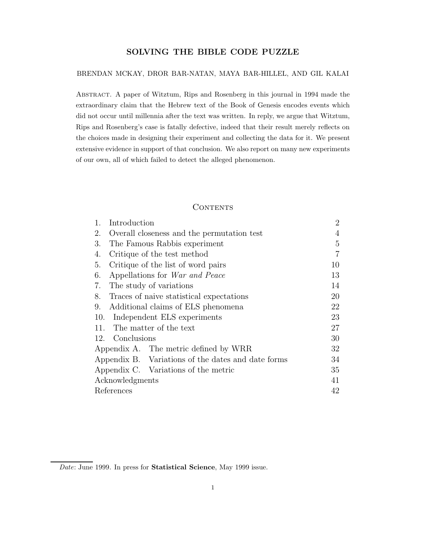# **SOLVING THE BIBLE CODE PUZZLE**

### BRENDAN MCKAY, DROR BAR-NATAN, MAYA BAR-HILLEL, AND GIL KALAI

Abstract. A paper of Witztum, Rips and Rosenberg in this journal in 1994 made the extraordinary claim that the Hebrew text of the Book of Genesis encodes events which did not occur until millennia after the text was written. In reply, we argue that Witztum, Rips and Rosenberg's case is fatally defective, indeed that their result merely reflects on the choices made in designing their experiment and collecting the data for it. We present extensive evidence in support of that conclusion. We also report on many new experiments of our own, all of which failed to detect the alleged phenomenon.

### **CONTENTS**

| 1.  | Introduction                                       |                |  |  |  |
|-----|----------------------------------------------------|----------------|--|--|--|
| 2.  | Overall closeness and the permutation test         |                |  |  |  |
| 3.  | The Famous Rabbis experiment                       | 5              |  |  |  |
| 4.  | Critique of the test method                        | $\overline{7}$ |  |  |  |
| 5.  | Critique of the list of word pairs                 | 10             |  |  |  |
| 6.  | Appellations for <i>War and Peace</i>              | 13             |  |  |  |
| 7.  | The study of variations                            | 14             |  |  |  |
| 8.  | Traces of naive statistical expectations           | 20             |  |  |  |
| 9.  | Additional claims of ELS phenomena<br>22           |                |  |  |  |
| 10. | Independent ELS experiments                        | 23             |  |  |  |
| 11. | The matter of the text<br>27                       |                |  |  |  |
| 12. | Conclusions                                        | 30             |  |  |  |
|     | Appendix A. The metric defined by WRR              | 32             |  |  |  |
|     | Appendix B. Variations of the dates and date forms | 34             |  |  |  |
|     | Appendix C. Variations of the metric<br>35         |                |  |  |  |
|     | Acknowledgments<br>41                              |                |  |  |  |
|     | References                                         | 42             |  |  |  |
|     |                                                    |                |  |  |  |

*Date*: June 1999. In press for **Statistical Science**, May 1999 issue.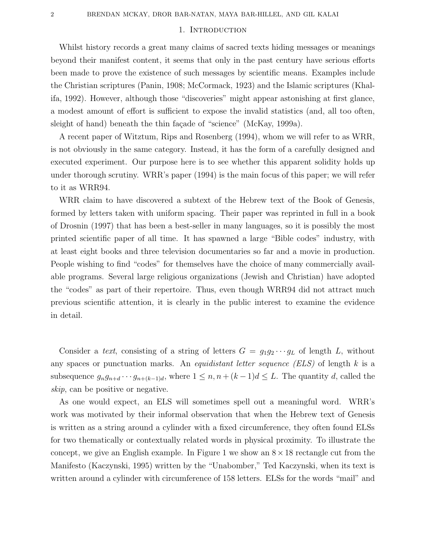### 1. INTRODUCTION

Whilst history records a great many claims of sacred texts hiding messages or meanings beyond their manifest content, it seems that only in the past century have serious efforts been made to prove the existence of such messages by scientific means. Examples include the Christian scriptures (Panin, 1908; McCormack, 1923) and the Islamic scriptures (Khalifa, 1992). However, although those "discoveries" might appear astonishing at first glance, a modest amount of effort is sufficient to expose the invalid statistics (and, all too often, sleight of hand) beneath the thin façade of "science" (McKay, 1999a).

A recent paper of Witztum, Rips and Rosenberg (1994), whom we will refer to as WRR, is not obviously in the same category. Instead, it has the form of a carefully designed and executed experiment. Our purpose here is to see whether this apparent solidity holds up under thorough scrutiny. WRR's paper (1994) is the main focus of this paper; we will refer to it as WRR94.

WRR claim to have discovered a subtext of the Hebrew text of the Book of Genesis, formed by letters taken with uniform spacing. Their paper was reprinted in full in a book of Drosnin (1997) that has been a best-seller in many languages, so it is possibly the most printed scientific paper of all time. It has spawned a large "Bible codes" industry, with at least eight books and three television documentaries so far and a movie in production. People wishing to find "codes" for themselves have the choice of many commercially available programs. Several large religious organizations (Jewish and Christian) have adopted the "codes" as part of their repertoire. Thus, even though WRR94 did not attract much previous scientific attention, it is clearly in the public interest to examine the evidence in detail.

Consider a text, consisting of a string of letters  $G = g_1 g_2 \cdots g_L$  of length L, without any spaces or punctuation marks. An *equidistant letter sequence (ELS)* of length  $k$  is a subsequence  $g_n g_{n+d} \cdots g_{n+(k-1)d}$ , where  $1 \leq n, n+(k-1)d \leq L$ . The quantity d, called the skip, can be positive or negative.

As one would expect, an ELS will sometimes spell out a meaningful word. WRR's work was motivated by their informal observation that when the Hebrew text of Genesis is written as a string around a cylinder with a fixed circumference, they often found ELSs for two thematically or contextually related words in physical proximity. To illustrate the concept, we give an English example. In Figure 1 we show an  $8 \times 18$  rectangle cut from the Manifesto (Kaczynski, 1995) written by the "Unabomber," Ted Kaczynski, when its text is written around a cylinder with circumference of 158 letters. ELSs for the words "mail" and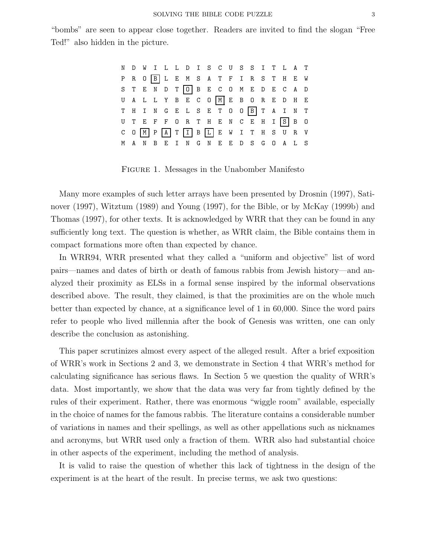"bombs" are seen to appear close together. Readers are invited to find the slogan "Free Ted!" also hidden in the picture.

|  |  |  | N D W I L L D I S C U S S I T L A T |  |  |  |  |  |  |
|--|--|--|-------------------------------------|--|--|--|--|--|--|
|  |  |  | P R O B L E M S A T F I R S T H E W |  |  |  |  |  |  |
|  |  |  | S T E N D T O B E C O M E D E C A D |  |  |  |  |  |  |
|  |  |  | U A L L Y B E C O M E B O R E D H E |  |  |  |  |  |  |
|  |  |  | THINGELSETOOBTAINT                  |  |  |  |  |  |  |
|  |  |  | UTEFFORTHENCEHISBO                  |  |  |  |  |  |  |
|  |  |  | COMPATTBLEWITHSURV                  |  |  |  |  |  |  |
|  |  |  | M A N B E I N G N E E D S G O A L S |  |  |  |  |  |  |

Figure 1. Messages in the Unabomber Manifesto

Many more examples of such letter arrays have been presented by Drosnin (1997), Satinover (1997), Witztum (1989) and Young (1997), for the Bible, or by McKay (1999b) and Thomas (1997), for other texts. It is acknowledged by WRR that they can be found in any sufficiently long text. The question is whether, as WRR claim, the Bible contains them in compact formations more often than expected by chance.

In WRR94, WRR presented what they called a "uniform and objective" list of word pairs—names and dates of birth or death of famous rabbis from Jewish history—and analyzed their proximity as ELSs in a formal sense inspired by the informal observations described above. The result, they claimed, is that the proximities are on the whole much better than expected by chance, at a significance level of 1 in 60,000. Since the word pairs refer to people who lived millennia after the book of Genesis was written, one can only describe the conclusion as astonishing.

This paper scrutinizes almost every aspect of the alleged result. After a brief exposition of WRR's work in Sections 2 and 3, we demonstrate in Section 4 that WRR's method for calculating significance has serious flaws. In Section 5 we question the quality of WRR's data. Most importantly, we show that the data was very far from tightly defined by the rules of their experiment. Rather, there was enormous "wiggle room" available, especially in the choice of names for the famous rabbis. The literature contains a considerable number of variations in names and their spellings, as well as other appellations such as nicknames and acronyms, but WRR used only a fraction of them. WRR also had substantial choice in other aspects of the experiment, including the method of analysis.

It is valid to raise the question of whether this lack of tightness in the design of the experiment is at the heart of the result. In precise terms, we ask two questions: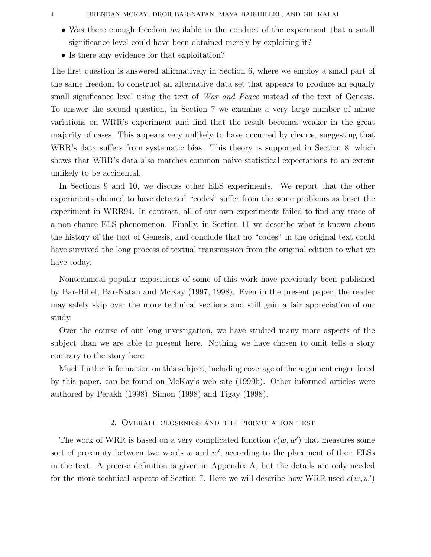4 BRENDAN MCKAY, DROR BAR-NATAN, MAYA BAR-HILLEL, AND GIL KALAI

- Was there enough freedom available in the conduct of the experiment that a small significance level could have been obtained merely by exploiting it?
- Is there any evidence for that exploitation?

The first question is answered affirmatively in Section 6, where we employ a small part of the same freedom to construct an alternative data set that appears to produce an equally small significance level using the text of *War and Peace* instead of the text of Genesis. To answer the second question, in Section 7 we examine a very large number of minor variations on WRR's experiment and find that the result becomes weaker in the great majority of cases. This appears very unlikely to have occurred by chance, suggesting that WRR's data suffers from systematic bias. This theory is supported in Section 8, which shows that WRR's data also matches common naive statistical expectations to an extent unlikely to be accidental.

In Sections 9 and 10, we discuss other ELS experiments. We report that the other experiments claimed to have detected "codes" suffer from the same problems as beset the experiment in WRR94. In contrast, all of our own experiments failed to find any trace of a non-chance ELS phenomenon. Finally, in Section 11 we describe what is known about the history of the text of Genesis, and conclude that no "codes" in the original text could have survived the long process of textual transmission from the original edition to what we have today.

Nontechnical popular expositions of some of this work have previously been published by Bar-Hillel, Bar-Natan and McKay (1997, 1998). Even in the present paper, the reader may safely skip over the more technical sections and still gain a fair appreciation of our study.

Over the course of our long investigation, we have studied many more aspects of the subject than we are able to present here. Nothing we have chosen to omit tells a story contrary to the story here.

Much further information on this subject, including coverage of the argument engendered by this paper, can be found on McKay's web site (1999b). Other informed articles were authored by Perakh (1998), Simon (1998) and Tigay (1998).

### 2. Overall closeness and the permutation test

The work of WRR is based on a very complicated function  $c(w, w')$  that measures some sort of proximity between two words  $w$  and  $w'$ , according to the placement of their ELSs in the text. A precise definition is given in Appendix A, but the details are only needed for the more technical aspects of Section 7. Here we will describe how WRR used  $c(w, w')$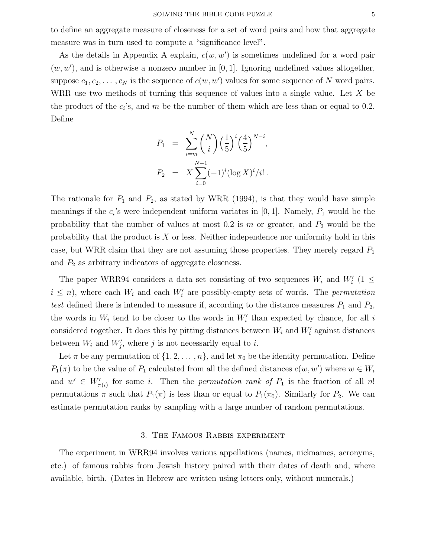to define an aggregate measure of closeness for a set of word pairs and how that aggregate measure was in turn used to compute a "significance level".

As the details in Appendix A explain,  $c(w, w')$  is sometimes undefined for a word pair  $(w, w')$ , and is otherwise a nonzero number in [0, 1]. Ignoring undefined values altogether, suppose  $c_1, c_2, \ldots, c_N$  is the sequence of  $c(w, w')$  values for some sequence of N word pairs. WRR use two methods of turning this sequence of values into a single value. Let X be the product of the  $c_i$ 's, and m be the number of them which are less than or equal to 0.2. Define

$$
P_1 = \sum_{i=m}^{N} {N \choose i} \left(\frac{1}{5}\right)^i \left(\frac{4}{5}\right)^{N-i},
$$
  

$$
P_2 = X \sum_{i=0}^{N-1} (-1)^i (\log X)^i / i!.
$$

The rationale for  $P_1$  and  $P_2$ , as stated by WRR (1994), is that they would have simple meanings if the  $c_i$ 's were independent uniform variates in [0, 1]. Namely,  $P_1$  would be the probability that the number of values at most 0.2 is  $m$  or greater, and  $P_2$  would be the probability that the product is X or less. Neither independence nor uniformity hold in this case, but WRR claim that they are not assuming those properties. They merely regard  $P_1$ and  $P_2$  as arbitrary indicators of aggregate closeness.

The paper WRR94 considers a data set consisting of two sequences  $W_i$  and  $W'_i$  (1  $\leq$  $i \leq n$ , where each  $W_i$  and each  $W'_i$  are possibly-empty sets of words. The *permutation* test defined there is intended to measure if, according to the distance measures  $P_1$  and  $P_2$ , the words in  $W_i$  tend to be closer to the words in  $W_i'$  than expected by chance, for all i considered together. It does this by pitting distances between  $W_i$  and  $W'_i$  against distances between  $W_i$  and  $W'_i$ , where j is not necessarily equal to i.

Let  $\pi$  be any permutation of  $\{1, 2, \ldots, n\}$ , and let  $\pi_0$  be the identity permutation. Define  $P_1(\pi)$  to be the value of  $P_1$  calculated from all the defined distances  $c(w, w')$  where  $w \in W_i$ and  $w' \in W'_{\pi(i)}$  for some *i*. Then the *permutation rank of*  $P_1$  is the fraction of all *n*! permutations  $\pi$  such that  $P_1(\pi)$  is less than or equal to  $P_1(\pi_0)$ . Similarly for  $P_2$ . We can estimate permutation ranks by sampling with a large number of random permutations.

## 3. The Famous Rabbis experiment

The experiment in WRR94 involves various appellations (names, nicknames, acronyms, etc.) of famous rabbis from Jewish history paired with their dates of death and, where available, birth. (Dates in Hebrew are written using letters only, without numerals.)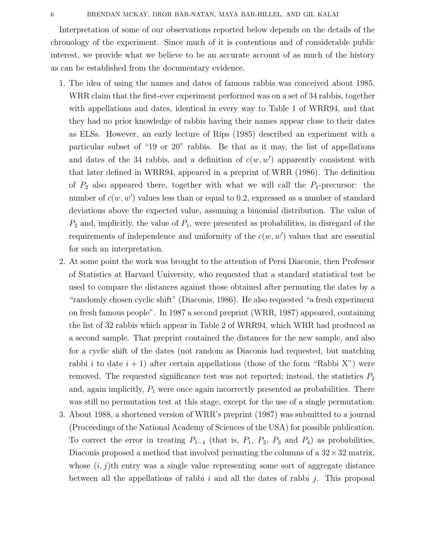Interpretation of some of our observations reported below depends on the details of the chronology of the experiment. Since much of it is contentious and of considerable public interest, we provide what we believe to be an accurate account of as much of the history as can be established from the documentary evidence.

- 1. The idea of using the names and dates of famous rabbis was conceived about 1985. WRR claim that the first-ever experiment performed was on a set of 34 rabbis, together with appellations and dates, identical in every way to Table 1 of WRR94, and that they had no prior knowledge of rabbis having their names appear close to their dates as ELSs. However, an early lecture of Rips (1985) described an experiment with a particular subset of "19 or 20" rabbis. Be that as it may, the list of appellations and dates of the 34 rabbis, and a definition of  $c(w, w')$  apparently consistent with that later defined in WRR94, appeared in a preprint of WRR (1986). The definition of  $P_2$  also appeared there, together with what we will call the  $P_1$ -precursor: the number of  $c(w, w')$  values less than or equal to 0.2, expressed as a number of standard deviations above the expected value, assuming a binomial distribution. The value of  $P_2$  and, implicitly, the value of  $P_1$ , were presented as probabilities, in disregard of the requirements of independence and uniformity of the  $c(w, w')$  values that are essential for such an interpretation.
- 2. At some point the work was brought to the attention of Persi Diaconis, then Professor of Statistics at Harvard University, who requested that a standard statistical test be used to compare the distances against those obtained after permuting the dates by a "randomly chosen cyclic shift" (Diaconis, 1986). He also requested "a fresh experiment on fresh famous people". In 1987 a second preprint (WRR, 1987) appeared, containing the list of 32 rabbis which appear in Table 2 of WRR94, which WRR had produced as a second sample. That preprint contained the distances for the new sample, and also for a cyclic shift of the dates (not random as Diaconis had requested, but matching rabbi i to date  $i + 1$ ) after certain appellations (those of the form "Rabbi X") were removed. The requested significance test was not reported; instead, the statistics  $P_2$ and, again implicitly,  $P_1$  were once again incorrectly presented as probabilities. There was still no permutation test at this stage, except for the use of a single permutation.
- 3. About 1988, a shortened version of WRR's preprint (1987) was submitted to a journal (Proceedings of the National Academy of Sciences of the USA) for possible publication. To correct the error in treating  $P_{1-4}$  (that is,  $P_1$ ,  $P_2$ ,  $P_3$  and  $P_4$ ) as probabilities, Diaconis proposed a method that involved permuting the columns of a  $32 \times 32$  matrix, whose  $(i, j)$ th entry was a single value representing some sort of aggregate distance between all the appellations of rabbi i and all the dates of rabbi j. This proposal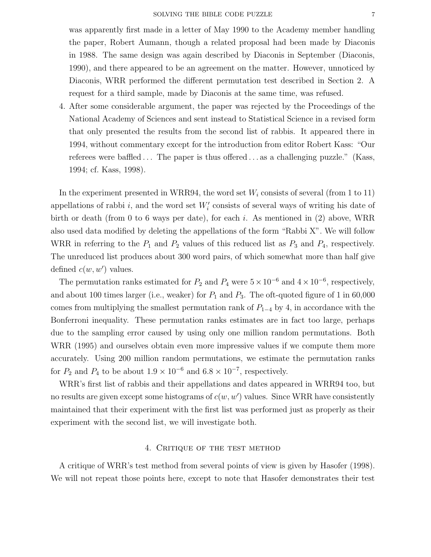was apparently first made in a letter of May 1990 to the Academy member handling the paper, Robert Aumann, though a related proposal had been made by Diaconis in 1988. The same design was again described by Diaconis in September (Diaconis, 1990), and there appeared to be an agreement on the matter. However, unnoticed by Diaconis, WRR performed the different permutation test described in Section 2. A request for a third sample, made by Diaconis at the same time, was refused.

4. After some considerable argument, the paper was rejected by the Proceedings of the National Academy of Sciences and sent instead to Statistical Science in a revised form that only presented the results from the second list of rabbis. It appeared there in 1994, without commentary except for the introduction from editor Robert Kass: "Our referees were baffled ... The paper is thus offered ... as a challenging puzzle." (Kass, 1994; cf. Kass, 1998).

In the experiment presented in WRR94, the word set  $W_i$  consists of several (from 1 to 11) appellations of rabbi i, and the word set  $W_i'$  consists of several ways of writing his date of birth or death (from 0 to 6 ways per date), for each i. As mentioned in (2) above, WRR also used data modified by deleting the appellations of the form "Rabbi X". We will follow WRR in referring to the  $P_1$  and  $P_2$  values of this reduced list as  $P_3$  and  $P_4$ , respectively. The unreduced list produces about 300 word pairs, of which somewhat more than half give defined  $c(w, w')$  values.

The permutation ranks estimated for  $P_2$  and  $P_4$  were  $5 \times 10^{-6}$  and  $4 \times 10^{-6}$ , respectively, and about 100 times larger (i.e., weaker) for  $P_1$  and  $P_3$ . The oft-quoted figure of 1 in 60,000 comes from multiplying the smallest permutation rank of  $P_{1-4}$  by 4, in accordance with the Bonferroni inequality. These permutation ranks estimates are in fact too large, perhaps due to the sampling error caused by using only one million random permutations. Both WRR (1995) and ourselves obtain even more impressive values if we compute them more accurately. Using 200 million random permutations, we estimate the permutation ranks for  $P_2$  and  $P_4$  to be about  $1.9 \times 10^{-6}$  and  $6.8 \times 10^{-7}$ , respectively.

WRR's first list of rabbis and their appellations and dates appeared in WRR94 too, but no results are given except some histograms of  $c(w, w')$  values. Since WRR have consistently maintained that their experiment with the first list was performed just as properly as their experiment with the second list, we will investigate both.

### 4. Critique of the test method

A critique of WRR's test method from several points of view is given by Hasofer (1998). We will not repeat those points here, except to note that Hasofer demonstrates their test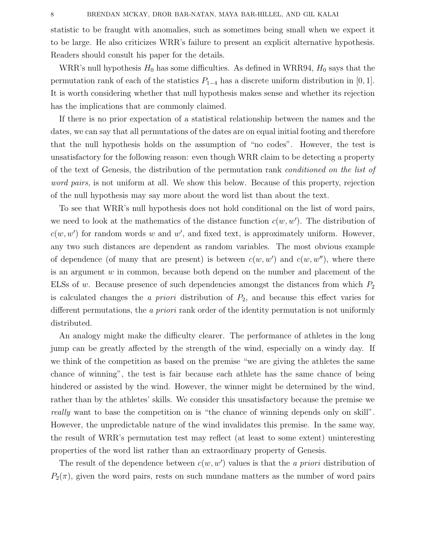statistic to be fraught with anomalies, such as sometimes being small when we expect it to be large. He also criticizes WRR's failure to present an explicit alternative hypothesis. Readers should consult his paper for the details.

WRR's null hypothesis  $H_0$  has some difficulties. As defined in WRR94,  $H_0$  says that the permutation rank of each of the statistics  $P_{1-4}$  has a discrete uniform distribution in [0, 1]. It is worth considering whether that null hypothesis makes sense and whether its rejection has the implications that are commonly claimed.

If there is no prior expectation of a statistical relationship between the names and the dates, we can say that all permutations of the dates are on equal initial footing and therefore that the null hypothesis holds on the assumption of "no codes". However, the test is unsatisfactory for the following reason: even though WRR claim to be detecting a property of the text of Genesis, the distribution of the permutation rank conditioned on the list of word pairs, is not uniform at all. We show this below. Because of this property, rejection of the null hypothesis may say more about the word list than about the text.

To see that WRR's null hypothesis does not hold conditional on the list of word pairs, we need to look at the mathematics of the distance function  $c(w, w')$ . The distribution of  $c(w, w')$  for random words w and w', and fixed text, is approximately uniform. However, any two such distances are dependent as random variables. The most obvious example of dependence (of many that are present) is between  $c(w, w')$  and  $c(w, w'')$ , where there is an argument  $w$  in common, because both depend on the number and placement of the ELSs of w. Because presence of such dependencies amongst the distances from which  $P_2$ is calculated changes the *a priori* distribution of  $P_2$ , and because this effect varies for different permutations, the a priori rank order of the identity permutation is not uniformly distributed.

An analogy might make the difficulty clearer. The performance of athletes in the long jump can be greatly affected by the strength of the wind, especially on a windy day. If we think of the competition as based on the premise "we are giving the athletes the same chance of winning", the test is fair because each athlete has the same chance of being hindered or assisted by the wind. However, the winner might be determined by the wind, rather than by the athletes' skills. We consider this unsatisfactory because the premise we really want to base the competition on is "the chance of winning depends only on skill". However, the unpredictable nature of the wind invalidates this premise. In the same way, the result of WRR's permutation test may reflect (at least to some extent) uninteresting properties of the word list rather than an extraordinary property of Genesis.

The result of the dependence between  $c(w, w')$  values is that the *a priori* distribution of  $P_2(\pi)$ , given the word pairs, rests on such mundane matters as the number of word pairs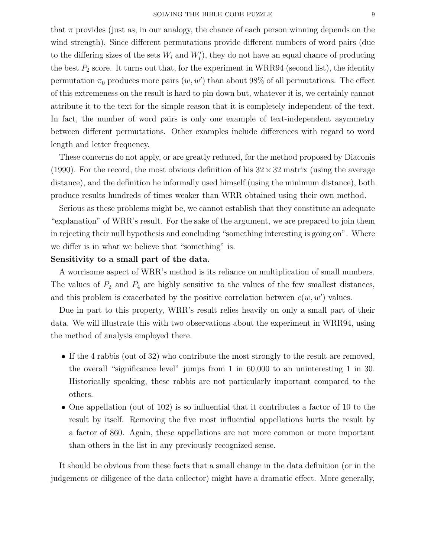that  $\pi$  provides (just as, in our analogy, the chance of each person winning depends on the wind strength). Since different permutations provide different numbers of word pairs (due to the differing sizes of the sets  $W_i$  and  $W'_i$ , they do not have an equal chance of producing the best  $P_2$  score. It turns out that, for the experiment in WRR94 (second list), the identity permutation  $\pi_0$  produces more pairs  $(w, w')$  than about 98% of all permutations. The effect of this extremeness on the result is hard to pin down but, whatever it is, we certainly cannot attribute it to the text for the simple reason that it is completely independent of the text. In fact, the number of word pairs is only one example of text-independent asymmetry between different permutations. Other examples include differences with regard to word length and letter frequency.

These concerns do not apply, or are greatly reduced, for the method proposed by Diaconis (1990). For the record, the most obvious definition of his  $32 \times 32$  matrix (using the average distance), and the definition he informally used himself (using the minimum distance), both produce results hundreds of times weaker than WRR obtained using their own method.

Serious as these problems might be, we cannot establish that they constitute an adequate "explanation" of WRR's result. For the sake of the argument, we are prepared to join them in rejecting their null hypothesis and concluding "something interesting is going on". Where we differ is in what we believe that "something" is.

### **Sensitivity to a small part of the data.**

A worrisome aspect of WRR's method is its reliance on multiplication of small numbers. The values of  $P_2$  and  $P_4$  are highly sensitive to the values of the few smallest distances, and this problem is exacerbated by the positive correlation between  $c(w, w')$  values.

Due in part to this property, WRR's result relies heavily on only a small part of their data. We will illustrate this with two observations about the experiment in WRR94, using the method of analysis employed there.

- If the 4 rabbis (out of 32) who contribute the most strongly to the result are removed, the overall "significance level" jumps from 1 in 60,000 to an uninteresting 1 in 30. Historically speaking, these rabbis are not particularly important compared to the others.
- One appellation (out of 102) is so influential that it contributes a factor of 10 to the result by itself. Removing the five most influential appellations hurts the result by a factor of 860. Again, these appellations are not more common or more important than others in the list in any previously recognized sense.

It should be obvious from these facts that a small change in the data definition (or in the judgement or diligence of the data collector) might have a dramatic effect. More generally,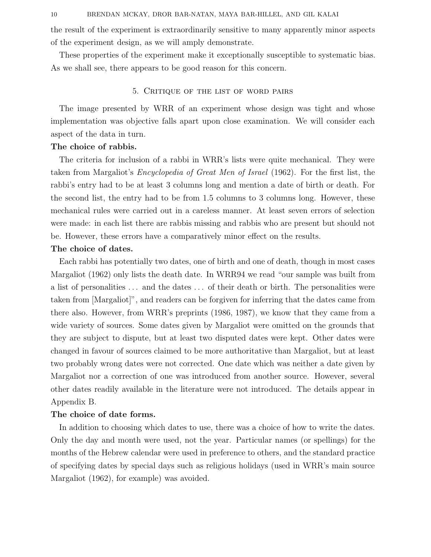the result of the experiment is extraordinarily sensitive to many apparently minor aspects of the experiment design, as we will amply demonstrate.

These properties of the experiment make it exceptionally susceptible to systematic bias. As we shall see, there appears to be good reason for this concern.

### 5. Critique of the list of word pairs

The image presented by WRR of an experiment whose design was tight and whose implementation was objective falls apart upon close examination. We will consider each aspect of the data in turn.

## **The choice of rabbis.**

The criteria for inclusion of a rabbi in WRR's lists were quite mechanical. They were taken from Margaliot's Encyclopedia of Great Men of Israel (1962). For the first list, the rabbi's entry had to be at least 3 columns long and mention a date of birth or death. For the second list, the entry had to be from 1.5 columns to 3 columns long. However, these mechanical rules were carried out in a careless manner. At least seven errors of selection were made: in each list there are rabbis missing and rabbis who are present but should not be. However, these errors have a comparatively minor effect on the results.

### **The choice of dates.**

Each rabbi has potentially two dates, one of birth and one of death, though in most cases Margaliot (1962) only lists the death date. In WRR94 we read "our sample was built from a list of personalities ... and the dates ... of their death or birth. The personalities were taken from [Margaliot]", and readers can be forgiven for inferring that the dates came from there also. However, from WRR's preprints (1986, 1987), we know that they came from a wide variety of sources. Some dates given by Margaliot were omitted on the grounds that they are subject to dispute, but at least two disputed dates were kept. Other dates were changed in favour of sources claimed to be more authoritative than Margaliot, but at least two probably wrong dates were not corrected. One date which was neither a date given by Margaliot nor a correction of one was introduced from another source. However, several other dates readily available in the literature were not introduced. The details appear in Appendix B.

### **The choice of date forms.**

In addition to choosing which dates to use, there was a choice of how to write the dates. Only the day and month were used, not the year. Particular names (or spellings) for the months of the Hebrew calendar were used in preference to others, and the standard practice of specifying dates by special days such as religious holidays (used in WRR's main source Margaliot (1962), for example) was avoided.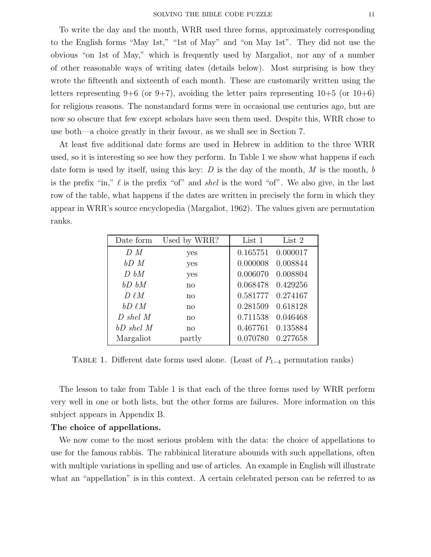To write the day and the month, WRR used three forms, approximately corresponding to the English forms "May 1st," "1st of May" and "on May 1st". They did not use the obvious "on 1st of May," which is frequently used by Margaliot, nor any of a number of other reasonable ways of writing dates (details below). Most surprising is how they wrote the fifteenth and sixteenth of each month. These are customarily written using the letters representing  $9+6$  (or  $9+7$ ), avoiding the letter pairs representing  $10+5$  (or  $10+6$ ) for religious reasons. The nonstandard forms were in occasional use centuries ago, but are now so obscure that few except scholars have seen them used. Despite this, WRR chose to use both—a choice greatly in their favour, as we shall see in Section 7.

At least five additional date forms are used in Hebrew in addition to the three WRR used, so it is interesting so see how they perform. In Table 1 we show what happens if each date form is used by itself, using this key:  $D$  is the day of the month,  $M$  is the month,  $b$ is the prefix "in,"  $\ell$  is the prefix "of" and shel is the word "of". We also give, in the last row of the table, what happens if the dates are written in precisely the form in which they appear in WRR's source encyclopedia (Margaliot, 1962). The values given are permutation ranks.

| Date form         | Used by WRR? | List 1   | List 2   |
|-------------------|--------------|----------|----------|
| D M               | yes          | 0.165751 | 0.000017 |
| bD M              | yes          | 0.000008 | 0.008844 |
| $D\;bM$           | yes          | 0.006070 | 0.008804 |
| $bD \; bM$        | no           | 0.068478 | 0.429256 |
| $D \ell M$        | no           | 0.581777 | 0.274167 |
| $bD \ell M$       | no           | 0.281509 | 0.618128 |
| $D \, shell \, M$ | no           | 0.711538 | 0.046468 |
| $bD$ shel M       | no           | 0.467761 | 0.135884 |
| Margaliot         | partly       | 0.070780 | 0.277658 |

TABLE 1. Different date forms used alone. (Least of  $P_{1-4}$  permutation ranks)

The lesson to take from Table 1 is that each of the three forms used by WRR perform very well in one or both lists, but the other forms are failures. More information on this subject appears in Appendix B.

## **The choice of appellations.**

We now come to the most serious problem with the data: the choice of appellations to use for the famous rabbis. The rabbinical literature abounds with such appellations, often with multiple variations in spelling and use of articles. An example in English will illustrate what an "appellation" is in this context. A certain celebrated person can be referred to as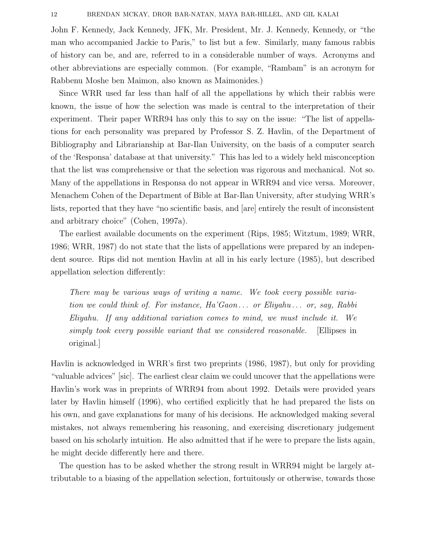John F. Kennedy, Jack Kennedy, JFK, Mr. President, Mr. J. Kennedy, Kennedy, or "the man who accompanied Jackie to Paris," to list but a few. Similarly, many famous rabbis of history can be, and are, referred to in a considerable number of ways. Acronyms and other abbreviations are especially common. (For example, "Rambam" is an acronym for Rabbenu Moshe ben Maimon, also known as Maimonides.)

Since WRR used far less than half of all the appellations by which their rabbis were known, the issue of how the selection was made is central to the interpretation of their experiment. Their paper WRR94 has only this to say on the issue: "The list of appellations for each personality was prepared by Professor S. Z. Havlin, of the Department of Bibliography and Librarianship at Bar-Ilan University, on the basis of a computer search of the 'Responsa' database at that university." This has led to a widely held misconception that the list was comprehensive or that the selection was rigorous and mechanical. Not so. Many of the appellations in Responsa do not appear in WRR94 and vice versa. Moreover, Menachem Cohen of the Department of Bible at Bar-Ilan University, after studying WRR's lists, reported that they have "no scientific basis, and [are] entirely the result of inconsistent and arbitrary choice" (Cohen, 1997a).

The earliest available documents on the experiment (Rips, 1985; Witztum, 1989; WRR, 1986; WRR, 1987) do not state that the lists of appellations were prepared by an independent source. Rips did not mention Havlin at all in his early lecture (1985), but described appellation selection differently:

There may be various ways of writing a name. We took every possible variation we could think of. For instance, Ha'Gaon ... or Eliyahu ... or, say, Rabbi Eliyahu. If any additional variation comes to mind, we must include it. We simply took every possible variant that we considered reasonable. [Ellipses in original.]

Havlin is acknowledged in WRR's first two preprints (1986, 1987), but only for providing "valuable advices" [sic]. The earliest clear claim we could uncover that the appellations were Havlin's work was in preprints of WRR94 from about 1992. Details were provided years later by Havlin himself (1996), who certified explicitly that he had prepared the lists on his own, and gave explanations for many of his decisions. He acknowledged making several mistakes, not always remembering his reasoning, and exercising discretionary judgement based on his scholarly intuition. He also admitted that if he were to prepare the lists again, he might decide differently here and there.

The question has to be asked whether the strong result in WRR94 might be largely attributable to a biasing of the appellation selection, fortuitously or otherwise, towards those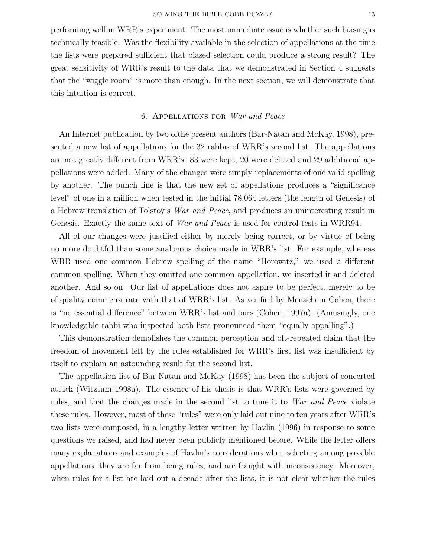performing well in WRR's experiment. The most immediate issue is whether such biasing is technically feasible. Was the flexibility available in the selection of appellations at the time the lists were prepared sufficient that biased selection could produce a strong result? The great sensitivity of WRR's result to the data that we demonstrated in Section 4 suggests that the "wiggle room" is more than enough. In the next section, we will demonstrate that this intuition is correct.

### 6. Appellations for War and Peace

An Internet publication by two ofthe present authors (Bar-Natan and McKay, 1998), presented a new list of appellations for the 32 rabbis of WRR's second list. The appellations are not greatly different from WRR's: 83 were kept, 20 were deleted and 29 additional appellations were added. Many of the changes were simply replacements of one valid spelling by another. The punch line is that the new set of appellations produces a "significance level" of one in a million when tested in the initial 78,064 letters (the length of Genesis) of a Hebrew translation of Tolstoy's War and Peace, and produces an uninteresting result in Genesis. Exactly the same text of *War and Peace* is used for control tests in WRR94.

All of our changes were justified either by merely being correct, or by virtue of being no more doubtful than some analogous choice made in WRR's list. For example, whereas WRR used one common Hebrew spelling of the name "Horowitz," we used a different common spelling. When they omitted one common appellation, we inserted it and deleted another. And so on. Our list of appellations does not aspire to be perfect, merely to be of quality commensurate with that of WRR's list. As verified by Menachem Cohen, there is "no essential difference" between WRR's list and ours (Cohen, 1997a). (Amusingly, one knowledgable rabbi who inspected both lists pronounced them "equally appalling".)

This demonstration demolishes the common perception and oft-repeated claim that the freedom of movement left by the rules established for WRR's first list was insufficient by itself to explain an astounding result for the second list.

The appellation list of Bar-Natan and McKay (1998) has been the subject of concerted attack (Witztum 1998a). The essence of his thesis is that WRR's lists were governed by rules, and that the changes made in the second list to tune it to War and Peace violate these rules. However, most of these "rules" were only laid out nine to ten years after WRR's two lists were composed, in a lengthy letter written by Havlin (1996) in response to some questions we raised, and had never been publicly mentioned before. While the letter offers many explanations and examples of Havlin's considerations when selecting among possible appellations, they are far from being rules, and are fraught with inconsistency. Moreover, when rules for a list are laid out a decade after the lists, it is not clear whether the rules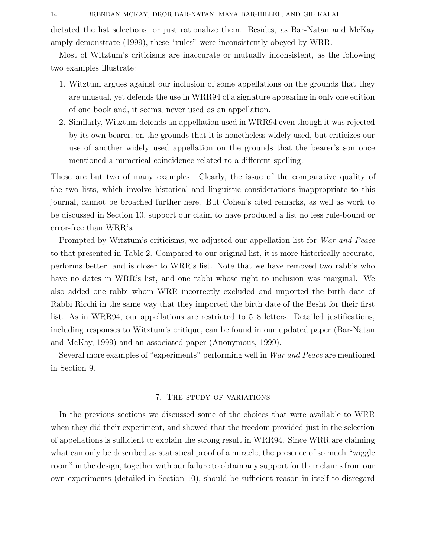dictated the list selections, or just rationalize them. Besides, as Bar-Natan and McKay amply demonstrate (1999), these "rules" were inconsistently obeyed by WRR.

Most of Witztum's criticisms are inaccurate or mutually inconsistent, as the following two examples illustrate:

- 1. Witztum argues against our inclusion of some appellations on the grounds that they are unusual, yet defends the use in WRR94 of a signature appearing in only one edition of one book and, it seems, never used as an appellation.
- 2. Similarly, Witztum defends an appellation used in WRR94 even though it was rejected by its own bearer, on the grounds that it is nonetheless widely used, but criticizes our use of another widely used appellation on the grounds that the bearer's son once mentioned a numerical coincidence related to a different spelling.

These are but two of many examples. Clearly, the issue of the comparative quality of the two lists, which involve historical and linguistic considerations inappropriate to this journal, cannot be broached further here. But Cohen's cited remarks, as well as work to be discussed in Section 10, support our claim to have produced a list no less rule-bound or error-free than WRR's.

Prompted by Witztum's criticisms, we adjusted our appellation list for War and Peace to that presented in Table 2. Compared to our original list, it is more historically accurate, performs better, and is closer to WRR's list. Note that we have removed two rabbis who have no dates in WRR's list, and one rabbi whose right to inclusion was marginal. We also added one rabbi whom WRR incorrectly excluded and imported the birth date of Rabbi Ricchi in the same way that they imported the birth date of the Besht for their first list. As in WRR94, our appellations are restricted to 5–8 letters. Detailed justifications, including responses to Witztum's critique, can be found in our updated paper (Bar-Natan and McKay, 1999) and an associated paper (Anonymous, 1999).

Several more examples of "experiments" performing well in War and Peace are mentioned in Section 9.

#### 7. The study of variations

In the previous sections we discussed some of the choices that were available to WRR when they did their experiment, and showed that the freedom provided just in the selection of appellations is sufficient to explain the strong result in WRR94. Since WRR are claiming what can only be described as statistical proof of a miracle, the presence of so much "wiggle" room" in the design, together with our failure to obtain any support for their claims from our own experiments (detailed in Section 10), should be sufficient reason in itself to disregard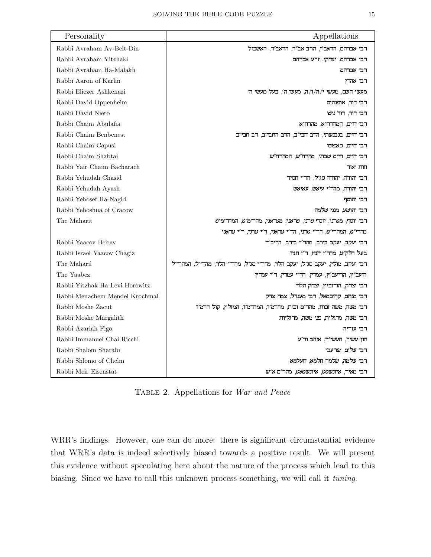| Personality                    | Appellations                                                                   |
|--------------------------------|--------------------------------------------------------------------------------|
| Rabbi Avraham Av-Beit-Din      | רבי אברהם, הראב"י, הרב אב"ד, הראב"ד, האשכול                                    |
| Rabbi Avraham Yitzhaki         | רבי אברהם, יצחקי, זרע אברהם                                                    |
| Rabbi Avraham Ha-Malakh        | רבי אברהם                                                                      |
| Rabbi Aaron of Karlin          | רבי אהרן                                                                       |
| Rabbi Eliezer Ashkenazi        | מעשי השם, מעשי י/ה/ו/ה, מעשי ה׳, בעל מעשי ה׳                                   |
| Rabbi David Oppenheim          | רבי דוד, אופנהים                                                               |
| Rabbi David Nieto              | רבי דוד, דוד ניטו                                                              |
| Rabbi Chaim Abulafia           | רבי חיים, המהרח״א, מהרח״א                                                      |
| Rabbi Chaim Benbenest          | רבי חיים, בנבנשתי, הרב חבי״ב, הרב החבי״ב, רב חבי״ב                             |
| Rabbi Chaim Capusi             | רבי חיים, כאפוסי                                                               |
| Rabbi Chaim Shabtai            | רבי חיים, חיים שבתי, מהרח <i>יש</i> , המהרח <i>יש</i>                          |
| Rabbi Yair Chaim Bacharach     | חות יאיר                                                                       |
| Rabbi Yehudah Chasid           | רבי יהודה, יהודה סג״ל, הר״י חסיד                                               |
| Rabbi Yehudah Ayash            | רבי יהודה, מהר"י עיאש, עאיאש                                                   |
| Rabbi Yehosef Ha-Nagid         | רבי יהוסף                                                                      |
| Rabbi Yehoshua of Cracow       | רבי יהושע, מגני שלמה                                                           |
| The Maharit                    | רבי יוסף, מטרני, יוסף טרני, טראני, מטראני, מהרימ״ט, המהרימ״ט                   |
|                                | מהרי״ט, המהרי״ט, הר״י טרני, הר״י טראני, ר״י טרני, ר״י טראני                    |
| Rabbi Yaacov Beirav            | רבי יעקב, יעקב בירב, מהר״י בירב, הריב״ר                                        |
| Rabbi Israel Yaacov Chagiz     | בעל הלק"ט, מהר"י חגיז, ר"י חגיז                                                |
| The Maharil                    | רבי יעקב, מולין, יעקב סג"ל, יעקב הלוי, מהר"י סג"ל, מהר"י הלוי, מהרי"ל, המהרי"ל |
| The Yaabez                     | היעב״ץ, הריעב״ץ, עמדין, הר״י עמדין, ר״י עמדין                                  |
| Rabbi Yitzhak Ha-Levi Horowitz | רבי יצחק, הורוביץ, יצחק הלוי                                                   |
| Rabbi Menachem Mendel Krochmal | רבי מנחם, קרוכמאל, רבי מענדל, צמח צדק                                          |
| Rabbi Moshe Zacut              | רבי משה, משה זכות, מהר״ם זכות, מהרמ״ז, המהרמ״ז, המזל״ן, קול הרמ״ז              |
| Rabbi Moshe Margalith          | רבי משה, מרגלית, פני משה, מרגליות                                              |
| Rabbi Azariah Figo             | רבי עזריה                                                                      |
| Rabbi Immanuel Chai Ricchi     | הון עשיר, העשי"ר, אוהב ור"ע                                                    |
| Rabbi Shalom Sharabi           | רבי שלום, שרעבי                                                                |
| Rabbi Shlomo of Chelm          | רבי שלמה, שלמה חלמא, חעלמא                                                     |
| Rabbi Meir Eisenstat           | רבי מאיר, איזנשטט, איזנשטאט, מהר״ם א״ש                                         |

TABLE 2. Appellations for War and Peace

WRR's findings. However, one can do more: there is significant circumstantial evidence that WRR's data is indeed selectively biased towards a positive result. We will present this evidence without speculating here about the nature of the process which lead to this biasing. Since we have to call this unknown process something, we will call it tuning.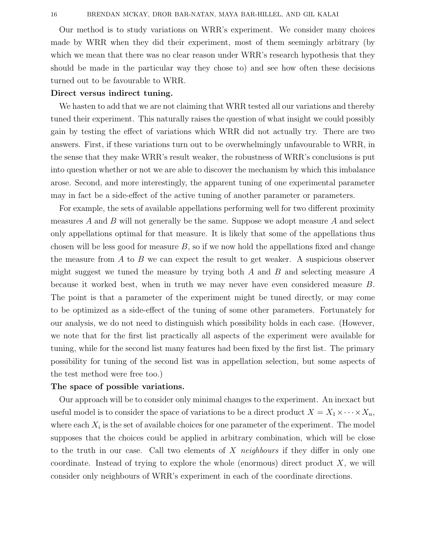Our method is to study variations on WRR's experiment. We consider many choices made by WRR when they did their experiment, most of them seemingly arbitrary (by which we mean that there was no clear reason under WRR's research hypothesis that they should be made in the particular way they chose to) and see how often these decisions turned out to be favourable to WRR.

### **Direct versus indirect tuning.**

We hasten to add that we are not claiming that WRR tested all our variations and thereby tuned their experiment. This naturally raises the question of what insight we could possibly gain by testing the effect of variations which WRR did not actually try. There are two answers. First, if these variations turn out to be overwhelmingly unfavourable to WRR, in the sense that they make WRR's result weaker, the robustness of WRR's conclusions is put into question whether or not we are able to discover the mechanism by which this imbalance arose. Second, and more interestingly, the apparent tuning of one experimental parameter may in fact be a side-effect of the active tuning of another parameter or parameters.

For example, the sets of available appellations performing well for two different proximity measures  $A$  and  $B$  will not generally be the same. Suppose we adopt measure  $A$  and select only appellations optimal for that measure. It is likely that some of the appellations thus chosen will be less good for measure  $B$ , so if we now hold the appellations fixed and change the measure from  $A$  to  $B$  we can expect the result to get weaker. A suspicious observer might suggest we tuned the measure by trying both A and B and selecting measure  $A$ because it worked best, when in truth we may never have even considered measure B. The point is that a parameter of the experiment might be tuned directly, or may come to be optimized as a side-effect of the tuning of some other parameters. Fortunately for our analysis, we do not need to distinguish which possibility holds in each case. (However, we note that for the first list practically all aspects of the experiment were available for tuning, while for the second list many features had been fixed by the first list. The primary possibility for tuning of the second list was in appellation selection, but some aspects of the test method were free too.)

### **The space of possible variations.**

Our approach will be to consider only minimal changes to the experiment. An inexact but useful model is to consider the space of variations to be a direct product  $X = X_1 \times \cdots \times X_n$ , where each  $X_i$  is the set of available choices for one parameter of the experiment. The model supposes that the choices could be applied in arbitrary combination, which will be close to the truth in our case. Call two elements of X neighbours if they differ in only one coordinate. Instead of trying to explore the whole (enormous) direct product  $X$ , we will consider only neighbours of WRR's experiment in each of the coordinate directions.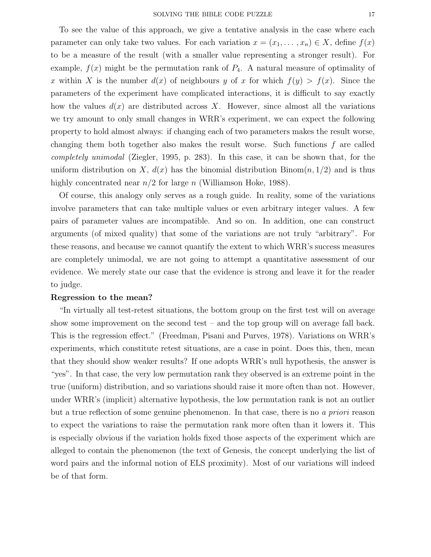To see the value of this approach, we give a tentative analysis in the case where each parameter can only take two values. For each variation  $x = (x_1, \ldots, x_n) \in X$ , define  $f(x)$ to be a measure of the result (with a smaller value representing a stronger result). For example,  $f(x)$  might be the permutation rank of  $P_4$ . A natural measure of optimality of x within X is the number  $d(x)$  of neighbours y of x for which  $f(y) > f(x)$ . Since the parameters of the experiment have complicated interactions, it is difficult to say exactly how the values  $d(x)$  are distributed across X. However, since almost all the variations we try amount to only small changes in WRR's experiment, we can expect the following property to hold almost always: if changing each of two parameters makes the result worse, changing them both together also makes the result worse. Such functions f are called completely unimodal (Ziegler, 1995, p. 283). In this case, it can be shown that, for the uniform distribution on X,  $d(x)$  has the binomial distribution Binom $(n, 1/2)$  and is thus highly concentrated near  $n/2$  for large n (Williamson Hoke, 1988).

Of course, this analogy only serves as a rough guide. In reality, some of the variations involve parameters that can take multiple values or even arbitrary integer values. A few pairs of parameter values are incompatible. And so on. In addition, one can construct arguments (of mixed quality) that some of the variations are not truly "arbitrary". For these reasons, and because we cannot quantify the extent to which WRR's success measures are completely unimodal, we are not going to attempt a quantitative assessment of our evidence. We merely state our case that the evidence is strong and leave it for the reader to judge.

## **Regression to the mean?**

"In virtually all test-retest situations, the bottom group on the first test will on average show some improvement on the second test – and the top group will on average fall back. This is the regression effect." (Freedman, Pisani and Purves, 1978). Variations on WRR's experiments, which constitute retest situations, are a case in point. Does this, then, mean that they should show weaker results? If one adopts WRR's null hypothesis, the answer is "yes". In that case, the very low permutation rank they observed is an extreme point in the true (uniform) distribution, and so variations should raise it more often than not. However, under WRR's (implicit) alternative hypothesis, the low permutation rank is not an outlier but a true reflection of some genuine phenomenon. In that case, there is no a priori reason to expect the variations to raise the permutation rank more often than it lowers it. This is especially obvious if the variation holds fixed those aspects of the experiment which are alleged to contain the phenomenon (the text of Genesis, the concept underlying the list of word pairs and the informal notion of ELS proximity). Most of our variations will indeed be of that form.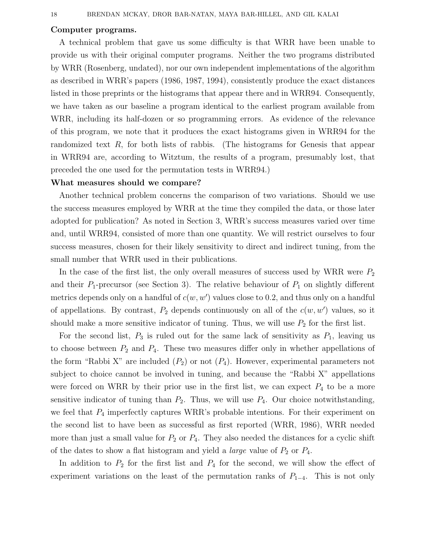### **Computer programs.**

A technical problem that gave us some difficulty is that WRR have been unable to provide us with their original computer programs. Neither the two programs distributed by WRR (Rosenberg, undated), nor our own independent implementations of the algorithm as described in WRR's papers (1986, 1987, 1994), consistently produce the exact distances listed in those preprints or the histograms that appear there and in WRR94. Consequently, we have taken as our baseline a program identical to the earliest program available from WRR, including its half-dozen or so programming errors. As evidence of the relevance of this program, we note that it produces the exact histograms given in WRR94 for the randomized text R, for both lists of rabbis. (The histograms for Genesis that appear in WRR94 are, according to Witztum, the results of a program, presumably lost, that preceded the one used for the permutation tests in WRR94.)

#### **What measures should we compare?**

Another technical problem concerns the comparison of two variations. Should we use the success measures employed by WRR at the time they compiled the data, or those later adopted for publication? As noted in Section 3, WRR's success measures varied over time and, until WRR94, consisted of more than one quantity. We will restrict ourselves to four success measures, chosen for their likely sensitivity to direct and indirect tuning, from the small number that WRR used in their publications.

In the case of the first list, the only overall measures of success used by WRR were  $P_2$ and their  $P_1$ -precursor (see Section 3). The relative behaviour of  $P_1$  on slightly different metrics depends only on a handful of  $c(w, w')$  values close to 0.2, and thus only on a handful of appellations. By contrast,  $P_2$  depends continuously on all of the  $c(w, w')$  values, so it should make a more sensitive indicator of tuning. Thus, we will use  $P_2$  for the first list.

For the second list,  $P_3$  is ruled out for the same lack of sensitivity as  $P_1$ , leaving us to choose between  $P_2$  and  $P_4$ . These two measures differ only in whether appellations of the form "Rabbi X" are included  $(P_2)$  or not  $(P_4)$ . However, experimental parameters not subject to choice cannot be involved in tuning, and because the "Rabbi X" appellations were forced on WRR by their prior use in the first list, we can expect  $P_4$  to be a more sensitive indicator of tuning than  $P_2$ . Thus, we will use  $P_4$ . Our choice notwithstanding, we feel that  $P_4$  imperfectly captures WRR's probable intentions. For their experiment on the second list to have been as successful as first reported (WRR, 1986), WRR needed more than just a small value for  $P_2$  or  $P_4$ . They also needed the distances for a cyclic shift of the dates to show a flat histogram and yield a *large* value of  $P_2$  or  $P_4$ .

In addition to  $P_2$  for the first list and  $P_4$  for the second, we will show the effect of experiment variations on the least of the permutation ranks of  $P_{1-4}$ . This is not only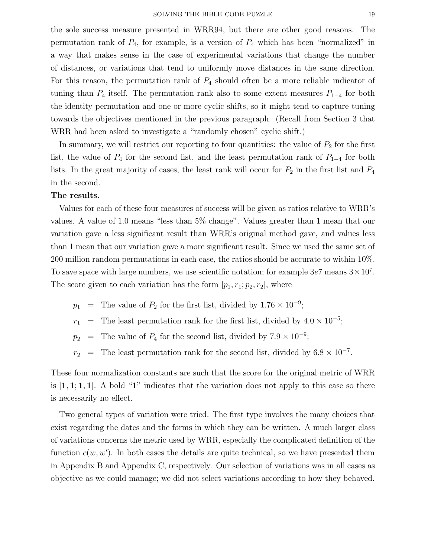the sole success measure presented in WRR94, but there are other good reasons. The permutation rank of  $P_4$ , for example, is a version of  $P_4$  which has been "normalized" in a way that makes sense in the case of experimental variations that change the number of distances, or variations that tend to uniformly move distances in the same direction. For this reason, the permutation rank of  $P_4$  should often be a more reliable indicator of tuning than  $P_4$  itself. The permutation rank also to some extent measures  $P_{1-4}$  for both the identity permutation and one or more cyclic shifts, so it might tend to capture tuning towards the objectives mentioned in the previous paragraph. (Recall from Section 3 that WRR had been asked to investigate a "randomly chosen" cyclic shift.)

In summary, we will restrict our reporting to four quantities: the value of  $P_2$  for the first list, the value of  $P_4$  for the second list, and the least permutation rank of  $P_{1-4}$  for both lists. In the great majority of cases, the least rank will occur for  $P_2$  in the first list and  $P_4$ in the second.

#### **The results.**

Values for each of these four measures of success will be given as ratios relative to WRR's values. A value of 1.0 means "less than 5% change". Values greater than 1 mean that our variation gave a less significant result than WRR's original method gave, and values less than 1 mean that our variation gave a more significant result. Since we used the same set of 200 million random permutations in each case, the ratios should be accurate to within 10%. To save space with large numbers, we use scientific notation; for example  $3e7$  means  $3 \times 10^7$ . The score given to each variation has the form  $[p_1, r_1; p_2, r_2]$ , where

- $p_1$  = The value of  $P_2$  for the first list, divided by 1.76 × 10<sup>-9</sup>;
- $r_1$  = The least permutation rank for the first list, divided by  $4.0 \times 10^{-5}$ ;
- $p_2$  = The value of  $P_4$  for the second list, divided by  $7.9 \times 10^{-9}$ ;
- $r_2$  = The least permutation rank for the second list, divided by  $6.8 \times 10^{-7}$ .

These four normalization constants are such that the score for the original metric of WRR is [**1**, **1**; **1**, **1**]. A bold "**1**" indicates that the variation does not apply to this case so there is necessarily no effect.

Two general types of variation were tried. The first type involves the many choices that exist regarding the dates and the forms in which they can be written. A much larger class of variations concerns the metric used by WRR, especially the complicated definition of the function  $c(w, w')$ . In both cases the details are quite technical, so we have presented them in Appendix B and Appendix C, respectively. Our selection of variations was in all cases as objective as we could manage; we did not select variations according to how they behaved.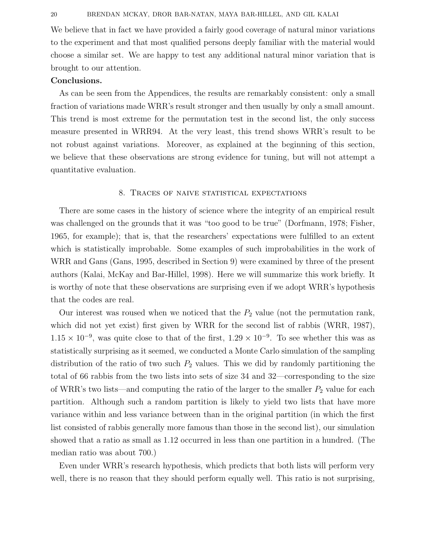We believe that in fact we have provided a fairly good coverage of natural minor variations to the experiment and that most qualified persons deeply familiar with the material would choose a similar set. We are happy to test any additional natural minor variation that is brought to our attention.

### **Conclusions.**

As can be seen from the Appendices, the results are remarkably consistent: only a small fraction of variations made WRR's result stronger and then usually by only a small amount. This trend is most extreme for the permutation test in the second list, the only success measure presented in WRR94. At the very least, this trend shows WRR's result to be not robust against variations. Moreover, as explained at the beginning of this section, we believe that these observations are strong evidence for tuning, but will not attempt a quantitative evaluation.

### 8. Traces of naive statistical expectations

There are some cases in the history of science where the integrity of an empirical result was challenged on the grounds that it was "too good to be true" (Dorfmann, 1978; Fisher, 1965, for example); that is, that the researchers' expectations were fulfilled to an extent which is statistically improbable. Some examples of such improbabilities in the work of WRR and Gans (Gans, 1995, described in Section 9) were examined by three of the present authors (Kalai, McKay and Bar-Hillel, 1998). Here we will summarize this work briefly. It is worthy of note that these observations are surprising even if we adopt WRR's hypothesis that the codes are real.

Our interest was roused when we noticed that the  $P_2$  value (not the permutation rank, which did not yet exist) first given by WRR for the second list of rabbis (WRR, 1987),  $1.15 \times 10^{-9}$ , was quite close to that of the first,  $1.29 \times 10^{-9}$ . To see whether this was as statistically surprising as it seemed, we conducted a Monte Carlo simulation of the sampling distribution of the ratio of two such  $P_2$  values. This we did by randomly partitioning the total of 66 rabbis from the two lists into sets of size 34 and 32—corresponding to the size of WRR's two lists—and computing the ratio of the larger to the smaller  $P_2$  value for each partition. Although such a random partition is likely to yield two lists that have more variance within and less variance between than in the original partition (in which the first list consisted of rabbis generally more famous than those in the second list), our simulation showed that a ratio as small as 1.12 occurred in less than one partition in a hundred. (The median ratio was about 700.)

Even under WRR's research hypothesis, which predicts that both lists will perform very well, there is no reason that they should perform equally well. This ratio is not surprising,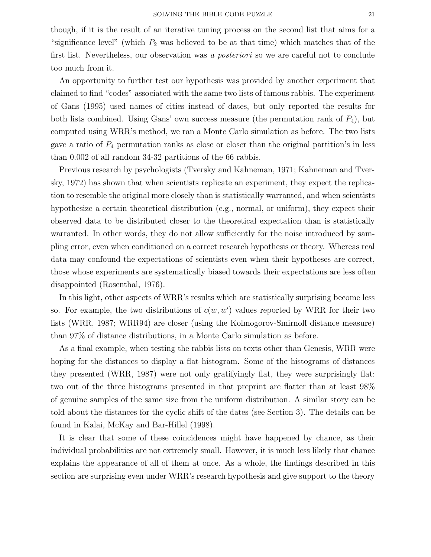though, if it is the result of an iterative tuning process on the second list that aims for a "significance level" (which  $P_2$  was believed to be at that time) which matches that of the first list. Nevertheless, our observation was a posteriori so we are careful not to conclude too much from it.

An opportunity to further test our hypothesis was provided by another experiment that claimed to find "codes" associated with the same two lists of famous rabbis. The experiment of Gans (1995) used names of cities instead of dates, but only reported the results for both lists combined. Using Gans' own success measure (the permutation rank of  $P_4$ ), but computed using WRR's method, we ran a Monte Carlo simulation as before. The two lists gave a ratio of  $P_4$  permutation ranks as close or closer than the original partition's in less than 0.002 of all random 34-32 partitions of the 66 rabbis.

Previous research by psychologists (Tversky and Kahneman, 1971; Kahneman and Tversky, 1972) has shown that when scientists replicate an experiment, they expect the replication to resemble the original more closely than is statistically warranted, and when scientists hypothesize a certain theoretical distribution (e.g., normal, or uniform), they expect their observed data to be distributed closer to the theoretical expectation than is statistically warranted. In other words, they do not allow sufficiently for the noise introduced by sampling error, even when conditioned on a correct research hypothesis or theory. Whereas real data may confound the expectations of scientists even when their hypotheses are correct, those whose experiments are systematically biased towards their expectations are less often disappointed (Rosenthal, 1976).

In this light, other aspects of WRR's results which are statistically surprising become less so. For example, the two distributions of  $c(w, w')$  values reported by WRR for their two lists (WRR, 1987; WRR94) are closer (using the Kolmogorov-Smirnoff distance measure) than 97% of distance distributions, in a Monte Carlo simulation as before.

As a final example, when testing the rabbis lists on texts other than Genesis, WRR were hoping for the distances to display a flat histogram. Some of the histograms of distances they presented (WRR, 1987) were not only gratifyingly flat, they were surprisingly flat: two out of the three histograms presented in that preprint are flatter than at least 98% of genuine samples of the same size from the uniform distribution. A similar story can be told about the distances for the cyclic shift of the dates (see Section 3). The details can be found in Kalai, McKay and Bar-Hillel (1998).

It is clear that some of these coincidences might have happened by chance, as their individual probabilities are not extremely small. However, it is much less likely that chance explains the appearance of all of them at once. As a whole, the findings described in this section are surprising even under WRR's research hypothesis and give support to the theory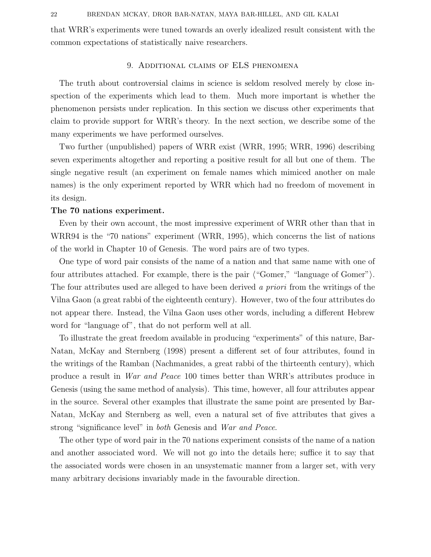that WRR's experiments were tuned towards an overly idealized result consistent with the common expectations of statistically naive researchers.

## 9. Additional claims of ELS phenomena

The truth about controversial claims in science is seldom resolved merely by close inspection of the experiments which lead to them. Much more important is whether the phenomenon persists under replication. In this section we discuss other experiments that claim to provide support for WRR's theory. In the next section, we describe some of the many experiments we have performed ourselves.

Two further (unpublished) papers of WRR exist (WRR, 1995; WRR, 1996) describing seven experiments altogether and reporting a positive result for all but one of them. The single negative result (an experiment on female names which mimiced another on male names) is the only experiment reported by WRR which had no freedom of movement in its design.

#### **The 70 nations experiment.**

Even by their own account, the most impressive experiment of WRR other than that in WRR94 is the "70 nations" experiment (WRR, 1995), which concerns the list of nations of the world in Chapter 10 of Genesis. The word pairs are of two types.

One type of word pair consists of the name of a nation and that same name with one of four attributes attached. For example, there is the pair  $\langle$  "Gomer," "language of Gomer"). The four attributes used are alleged to have been derived a priori from the writings of the Vilna Gaon (a great rabbi of the eighteenth century). However, two of the four attributes do not appear there. Instead, the Vilna Gaon uses other words, including a different Hebrew word for "language of", that do not perform well at all.

To illustrate the great freedom available in producing "experiments" of this nature, Bar-Natan, McKay and Sternberg (1998) present a different set of four attributes, found in the writings of the Ramban (Nachmanides, a great rabbi of the thirteenth century), which produce a result in War and Peace 100 times better than WRR's attributes produce in Genesis (using the same method of analysis). This time, however, all four attributes appear in the source. Several other examples that illustrate the same point are presented by Bar-Natan, McKay and Sternberg as well, even a natural set of five attributes that gives a strong "significance level" in both Genesis and War and Peace.

The other type of word pair in the 70 nations experiment consists of the name of a nation and another associated word. We will not go into the details here; suffice it to say that the associated words were chosen in an unsystematic manner from a larger set, with very many arbitrary decisions invariably made in the favourable direction.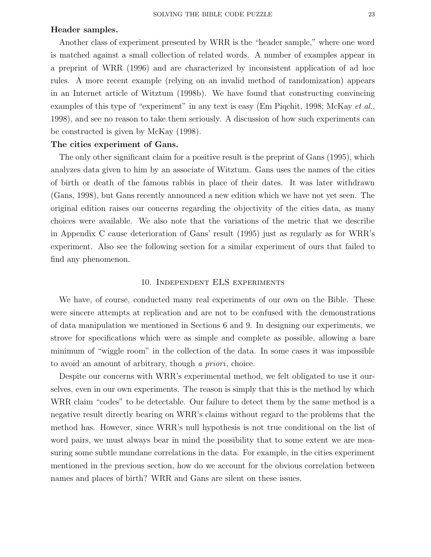#### **Header samples.**

Another class of experiment presented by WRR is the "header sample," where one word is matched against a small collection of related words. A number of examples appear in a preprint of WRR (1996) and are characterized by inconsistent application of ad hoc rules. A more recent example (relying on an invalid method of randomization) appears in an Internet article of Witztum (1998b). We have found that constructing convincing examples of this type of "experiment" in any text is easy (Em Piqchit, 1998; McKay *et al.*, 1998), and see no reason to take them seriously. A discussion of how such experiments can be constructed is given by McKay (1998).

### **The cities experiment of Gans.**

The only other significant claim for a positive result is the preprint of Gans (1995), which analyzes data given to him by an associate of Witztum. Gans uses the names of the cities of birth or death of the famous rabbis in place of their dates. It was later withdrawn (Gans, 1998), but Gans recently announced a new edition which we have not yet seen. The original edition raises our concerns regarding the objectivity of the cities data, as many choices were available. We also note that the variations of the metric that we describe in Appendix C cause deterioration of Gans' result (1995) just as regularly as for WRR's experiment. Also see the following section for a similar experiment of ours that failed to find any phenomenon.

## 10. Independent ELS experiments

We have, of course, conducted many real experiments of our own on the Bible. These were sincere attempts at replication and are not to be confused with the demonstrations of data manipulation we mentioned in Sections 6 and 9. In designing our experiments, we strove for specifications which were as simple and complete as possible, allowing a bare minimum of "wiggle room" in the collection of the data. In some cases it was impossible to avoid an amount of arbitrary, though a priori, choice.

Despite our concerns with WRR's experimental method, we felt obligated to use it ourselves, even in our own experiments. The reason is simply that this is the method by which WRR claim "codes" to be detectable. Our failure to detect them by the same method is a negative result directly bearing on WRR's claims without regard to the problems that the method has. However, since WRR's null hypothesis is not true conditional on the list of word pairs, we must always bear in mind the possibility that to some extent we are measuring some subtle mundane correlations in the data. For example, in the cities experiment mentioned in the previous section, how do we account for the obvious correlation between names and places of birth? WRR and Gans are silent on these issues.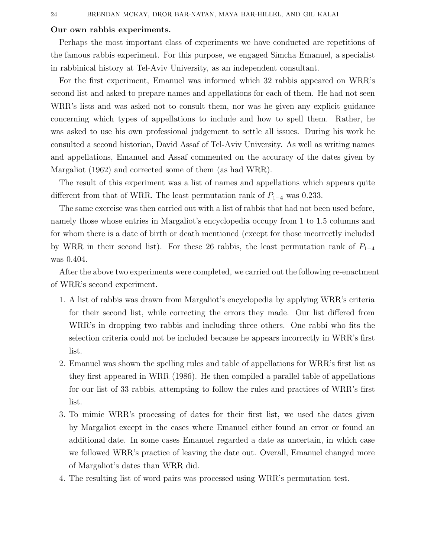#### **Our own rabbis experiments.**

Perhaps the most important class of experiments we have conducted are repetitions of the famous rabbis experiment. For this purpose, we engaged Simcha Emanuel, a specialist in rabbinical history at Tel-Aviv University, as an independent consultant.

For the first experiment, Emanuel was informed which 32 rabbis appeared on WRR's second list and asked to prepare names and appellations for each of them. He had not seen WRR's lists and was asked not to consult them, nor was he given any explicit guidance concerning which types of appellations to include and how to spell them. Rather, he was asked to use his own professional judgement to settle all issues. During his work he consulted a second historian, David Assaf of Tel-Aviv University. As well as writing names and appellations, Emanuel and Assaf commented on the accuracy of the dates given by Margaliot (1962) and corrected some of them (as had WRR).

The result of this experiment was a list of names and appellations which appears quite different from that of WRR. The least permutation rank of  $P_{1-4}$  was 0.233.

The same exercise was then carried out with a list of rabbis that had not been used before, namely those whose entries in Margaliot's encyclopedia occupy from 1 to 1.5 columns and for whom there is a date of birth or death mentioned (except for those incorrectly included by WRR in their second list). For these 26 rabbis, the least permutation rank of  $P_{1-4}$ was 0.404.

After the above two experiments were completed, we carried out the following re-enactment of WRR's second experiment.

- 1. A list of rabbis was drawn from Margaliot's encyclopedia by applying WRR's criteria for their second list, while correcting the errors they made. Our list differed from WRR's in dropping two rabbis and including three others. One rabbi who fits the selection criteria could not be included because he appears incorrectly in WRR's first list.
- 2. Emanuel was shown the spelling rules and table of appellations for WRR's first list as they first appeared in WRR (1986). He then compiled a parallel table of appellations for our list of 33 rabbis, attempting to follow the rules and practices of WRR's first list.
- 3. To mimic WRR's processing of dates for their first list, we used the dates given by Margaliot except in the cases where Emanuel either found an error or found an additional date. In some cases Emanuel regarded a date as uncertain, in which case we followed WRR's practice of leaving the date out. Overall, Emanuel changed more of Margaliot's dates than WRR did.
- 4. The resulting list of word pairs was processed using WRR's permutation test.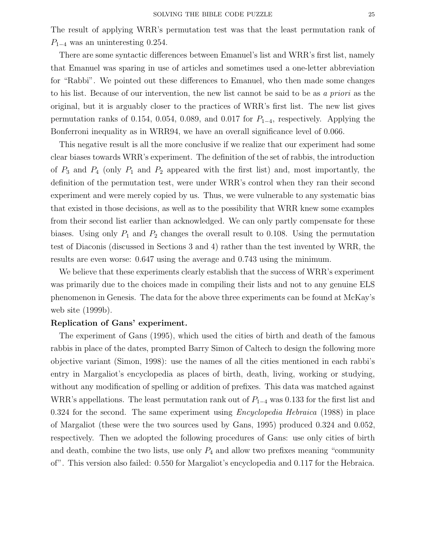The result of applying WRR's permutation test was that the least permutation rank of  $P_{1-4}$  was an uninteresting 0.254.

There are some syntactic differences between Emanuel's list and WRR's first list, namely that Emanuel was sparing in use of articles and sometimes used a one-letter abbreviation for "Rabbi". We pointed out these differences to Emanuel, who then made some changes to his list. Because of our intervention, the new list cannot be said to be as a priori as the original, but it is arguably closer to the practices of WRR's first list. The new list gives permutation ranks of 0.154, 0.054, 0.089, and 0.017 for  $P_{1-4}$ , respectively. Applying the Bonferroni inequality as in WRR94, we have an overall significance level of 0.066.

This negative result is all the more conclusive if we realize that our experiment had some clear biases towards WRR's experiment. The definition of the set of rabbis, the introduction of  $P_3$  and  $P_4$  (only  $P_1$  and  $P_2$  appeared with the first list) and, most importantly, the definition of the permutation test, were under WRR's control when they ran their second experiment and were merely copied by us. Thus, we were vulnerable to any systematic bias that existed in those decisions, as well as to the possibility that WRR knew some examples from their second list earlier than acknowledged. We can only partly compensate for these biases. Using only  $P_1$  and  $P_2$  changes the overall result to 0.108. Using the permutation test of Diaconis (discussed in Sections 3 and 4) rather than the test invented by WRR, the results are even worse: 0.647 using the average and 0.743 using the minimum.

We believe that these experiments clearly establish that the success of WRR's experiment was primarily due to the choices made in compiling their lists and not to any genuine ELS phenomenon in Genesis. The data for the above three experiments can be found at McKay's web site (1999b).

## **Replication of Gans' experiment.**

The experiment of Gans (1995), which used the cities of birth and death of the famous rabbis in place of the dates, prompted Barry Simon of Caltech to design the following more objective variant (Simon, 1998): use the names of all the cities mentioned in each rabbi's entry in Margaliot's encyclopedia as places of birth, death, living, working or studying, without any modification of spelling or addition of prefixes. This data was matched against WRR's appellations. The least permutation rank out of  $P_{1-4}$  was 0.133 for the first list and 0.324 for the second. The same experiment using *Encyclopedia Hebraica* (1988) in place of Margaliot (these were the two sources used by Gans, 1995) produced 0.324 and 0.052, respectively. Then we adopted the following procedures of Gans: use only cities of birth and death, combine the two lists, use only  $P_4$  and allow two prefixes meaning "community" of". This version also failed: 0.550 for Margaliot's encyclopedia and 0.117 for the Hebraica.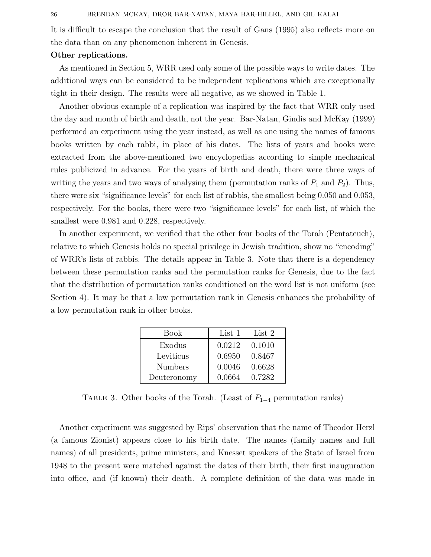It is difficult to escape the conclusion that the result of Gans (1995) also reflects more on the data than on any phenomenon inherent in Genesis.

### **Other replications.**

As mentioned in Section 5, WRR used only some of the possible ways to write dates. The additional ways can be considered to be independent replications which are exceptionally tight in their design. The results were all negative, as we showed in Table 1.

Another obvious example of a replication was inspired by the fact that WRR only used the day and month of birth and death, not the year. Bar-Natan, Gindis and McKay (1999) performed an experiment using the year instead, as well as one using the names of famous books written by each rabbi, in place of his dates. The lists of years and books were extracted from the above-mentioned two encyclopedias according to simple mechanical rules publicized in advance. For the years of birth and death, there were three ways of writing the years and two ways of analysing them (permutation ranks of  $P_1$  and  $P_2$ ). Thus, there were six "significance levels" for each list of rabbis, the smallest being 0.050 and 0.053, respectively. For the books, there were two "significance levels" for each list, of which the smallest were 0.981 and 0.228, respectively.

In another experiment, we verified that the other four books of the Torah (Pentateuch), relative to which Genesis holds no special privilege in Jewish tradition, show no "encoding" of WRR's lists of rabbis. The details appear in Table 3. Note that there is a dependency between these permutation ranks and the permutation ranks for Genesis, due to the fact that the distribution of permutation ranks conditioned on the word list is not uniform (see Section 4). It may be that a low permutation rank in Genesis enhances the probability of a low permutation rank in other books.

| Book           | List <sub>1</sub> | List 2 |
|----------------|-------------------|--------|
| Exodus         | 0.0212            | 0.1010 |
| Leviticus      | 0.6950            | 0.8467 |
| <b>Numbers</b> | 0.0046            | 0.6628 |
| Deuteronomy    | 0.0664            | 0.7282 |

TABLE 3. Other books of the Torah. (Least of  $P_{1-4}$  permutation ranks)

Another experiment was suggested by Rips' observation that the name of Theodor Herzl (a famous Zionist) appears close to his birth date. The names (family names and full names) of all presidents, prime ministers, and Knesset speakers of the State of Israel from 1948 to the present were matched against the dates of their birth, their first inauguration into office, and (if known) their death. A complete definition of the data was made in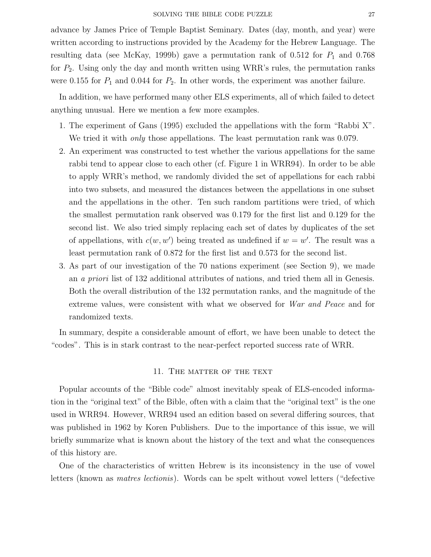advance by James Price of Temple Baptist Seminary. Dates (day, month, and year) were written according to instructions provided by the Academy for the Hebrew Language. The resulting data (see McKay, 1999b) gave a permutation rank of 0.512 for  $P_1$  and 0.768 for  $P_2$ . Using only the day and month written using WRR's rules, the permutation ranks were 0.155 for  $P_1$  and 0.044 for  $P_2$ . In other words, the experiment was another failure.

In addition, we have performed many other ELS experiments, all of which failed to detect anything unusual. Here we mention a few more examples.

- 1. The experiment of Gans (1995) excluded the appellations with the form "Rabbi X". We tried it with *only* those appellations. The least permutation rank was 0.079.
- 2. An experiment was constructed to test whether the various appellations for the same rabbi tend to appear close to each other (cf. Figure 1 in WRR94). In order to be able to apply WRR's method, we randomly divided the set of appellations for each rabbi into two subsets, and measured the distances between the appellations in one subset and the appellations in the other. Ten such random partitions were tried, of which the smallest permutation rank observed was 0.179 for the first list and 0.129 for the second list. We also tried simply replacing each set of dates by duplicates of the set of appellations, with  $c(w, w')$  being treated as undefined if  $w = w'$ . The result was a least permutation rank of 0.872 for the first list and 0.573 for the second list.
- 3. As part of our investigation of the 70 nations experiment (see Section 9), we made an a priori list of 132 additional attributes of nations, and tried them all in Genesis. Both the overall distribution of the 132 permutation ranks, and the magnitude of the extreme values, were consistent with what we observed for War and Peace and for randomized texts.

In summary, despite a considerable amount of effort, we have been unable to detect the "codes". This is in stark contrast to the near-perfect reported success rate of WRR.

### 11. THE MATTER OF THE TEXT

Popular accounts of the "Bible code" almost inevitably speak of ELS-encoded information in the "original text" of the Bible, often with a claim that the "original text" is the one used in WRR94. However, WRR94 used an edition based on several differing sources, that was published in 1962 by Koren Publishers. Due to the importance of this issue, we will briefly summarize what is known about the history of the text and what the consequences of this history are.

One of the characteristics of written Hebrew is its inconsistency in the use of vowel letters (known as matres lectionis). Words can be spelt without vowel letters ("defective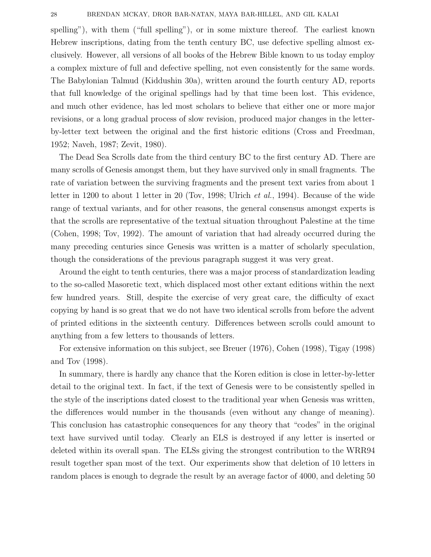spelling"), with them ("full spelling"), or in some mixture thereof. The earliest known Hebrew inscriptions, dating from the tenth century BC, use defective spelling almost exclusively. However, all versions of all books of the Hebrew Bible known to us today employ a complex mixture of full and defective spelling, not even consistently for the same words. The Babylonian Talmud (Kiddushin 30a), written around the fourth century AD, reports that full knowledge of the original spellings had by that time been lost. This evidence, and much other evidence, has led most scholars to believe that either one or more major revisions, or a long gradual process of slow revision, produced major changes in the letterby-letter text between the original and the first historic editions (Cross and Freedman, 1952; Naveh, 1987; Zevit, 1980).

The Dead Sea Scrolls date from the third century BC to the first century AD. There are many scrolls of Genesis amongst them, but they have survived only in small fragments. The rate of variation between the surviving fragments and the present text varies from about 1 letter in 1200 to about 1 letter in 20 (Tov, 1998; Ulrich *et al.*, 1994). Because of the wide range of textual variants, and for other reasons, the general consensus amongst experts is that the scrolls are representative of the textual situation throughout Palestine at the time (Cohen, 1998; Tov, 1992). The amount of variation that had already occurred during the many preceding centuries since Genesis was written is a matter of scholarly speculation, though the considerations of the previous paragraph suggest it was very great.

Around the eight to tenth centuries, there was a major process of standardization leading to the so-called Masoretic text, which displaced most other extant editions within the next few hundred years. Still, despite the exercise of very great care, the difficulty of exact copying by hand is so great that we do not have two identical scrolls from before the advent of printed editions in the sixteenth century. Differences between scrolls could amount to anything from a few letters to thousands of letters.

For extensive information on this subject, see Breuer (1976), Cohen (1998), Tigay (1998) and Tov (1998).

In summary, there is hardly any chance that the Koren edition is close in letter-by-letter detail to the original text. In fact, if the text of Genesis were to be consistently spelled in the style of the inscriptions dated closest to the traditional year when Genesis was written, the differences would number in the thousands (even without any change of meaning). This conclusion has catastrophic consequences for any theory that "codes" in the original text have survived until today. Clearly an ELS is destroyed if any letter is inserted or deleted within its overall span. The ELSs giving the strongest contribution to the WRR94 result together span most of the text. Our experiments show that deletion of 10 letters in random places is enough to degrade the result by an average factor of 4000, and deleting 50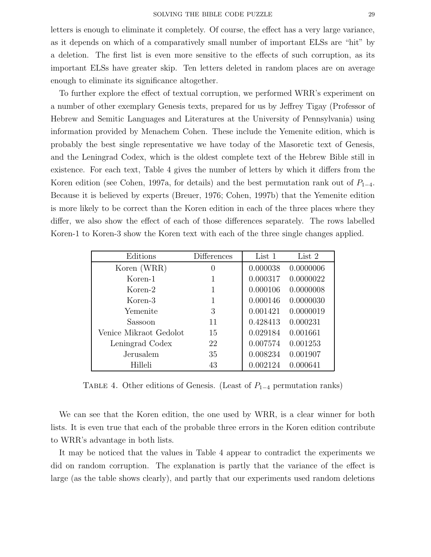letters is enough to eliminate it completely. Of course, the effect has a very large variance, as it depends on which of a comparatively small number of important ELSs are "hit" by a deletion. The first list is even more sensitive to the effects of such corruption, as its important ELSs have greater skip. Ten letters deleted in random places are on average enough to eliminate its significance altogether.

To further explore the effect of textual corruption, we performed WRR's experiment on a number of other exemplary Genesis texts, prepared for us by Jeffrey Tigay (Professor of Hebrew and Semitic Languages and Literatures at the University of Pennsylvania) using information provided by Menachem Cohen. These include the Yemenite edition, which is probably the best single representative we have today of the Masoretic text of Genesis, and the Leningrad Codex, which is the oldest complete text of the Hebrew Bible still in existence. For each text, Table 4 gives the number of letters by which it differs from the Koren edition (see Cohen, 1997a, for details) and the best permutation rank out of  $P_{1-4}$ . Because it is believed by experts (Breuer, 1976; Cohen, 1997b) that the Yemenite edition is more likely to be correct than the Koren edition in each of the three places where they differ, we also show the effect of each of those differences separately. The rows labelled Koren-1 to Koren-3 show the Koren text with each of the three single changes applied.

| Editions               | Differences      | List 1   | List 2    |
|------------------------|------------------|----------|-----------|
| Koren (WRR)            | $\left( \right)$ | 0.000038 | 0.0000006 |
| Koren-1                |                  | 0.000317 | 0.0000022 |
| Koren-2                |                  | 0.000106 | 0.0000008 |
| Koren-3                |                  | 0.000146 | 0.0000030 |
| Yemenite               | 3                | 0.001421 | 0.0000019 |
| Sassoon                | 11               | 0.428413 | 0.000231  |
| Venice Mikraot Gedolot | 15               | 0.029184 | 0.001661  |
| Leningrad Codex        | 22               | 0.007574 | 0.001253  |
| Jerusalem              | 35               | 0.008234 | 0.001907  |
| Hilleli                | 43               | 0.002124 | 0.000641  |

TABLE 4. Other editions of Genesis. (Least of  $P_{1-4}$  permutation ranks)

We can see that the Koren edition, the one used by WRR, is a clear winner for both lists. It is even true that each of the probable three errors in the Koren edition contribute to WRR's advantage in both lists.

It may be noticed that the values in Table 4 appear to contradict the experiments we did on random corruption. The explanation is partly that the variance of the effect is large (as the table shows clearly), and partly that our experiments used random deletions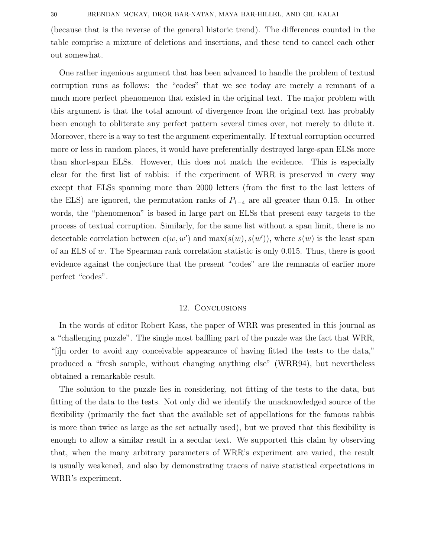(because that is the reverse of the general historic trend). The differences counted in the table comprise a mixture of deletions and insertions, and these tend to cancel each other out somewhat.

One rather ingenious argument that has been advanced to handle the problem of textual corruption runs as follows: the "codes" that we see today are merely a remnant of a much more perfect phenomenon that existed in the original text. The major problem with this argument is that the total amount of divergence from the original text has probably been enough to obliterate any perfect pattern several times over, not merely to dilute it. Moreover, there is a way to test the argument experimentally. If textual corruption occurred more or less in random places, it would have preferentially destroyed large-span ELSs more than short-span ELSs. However, this does not match the evidence. This is especially clear for the first list of rabbis: if the experiment of WRR is preserved in every way except that ELSs spanning more than 2000 letters (from the first to the last letters of the ELS) are ignored, the permutation ranks of  $P_{1-4}$  are all greater than 0.15. In other words, the "phenomenon" is based in large part on ELSs that present easy targets to the process of textual corruption. Similarly, for the same list without a span limit, there is no detectable correlation between  $c(w, w')$  and  $\max(s(w), s(w'))$ , where  $s(w)$  is the least span of an ELS of w. The Spearman rank correlation statistic is only 0.015. Thus, there is good evidence against the conjecture that the present "codes" are the remnants of earlier more perfect "codes".

#### 12. Conclusions

In the words of editor Robert Kass, the paper of WRR was presented in this journal as a "challenging puzzle". The single most baffling part of the puzzle was the fact that WRR, "[i]n order to avoid any conceivable appearance of having fitted the tests to the data," produced a "fresh sample, without changing anything else" (WRR94), but nevertheless obtained a remarkable result.

The solution to the puzzle lies in considering, not fitting of the tests to the data, but fitting of the data to the tests. Not only did we identify the unacknowledged source of the flexibility (primarily the fact that the available set of appellations for the famous rabbis is more than twice as large as the set actually used), but we proved that this flexibility is enough to allow a similar result in a secular text. We supported this claim by observing that, when the many arbitrary parameters of WRR's experiment are varied, the result is usually weakened, and also by demonstrating traces of naive statistical expectations in WRR's experiment.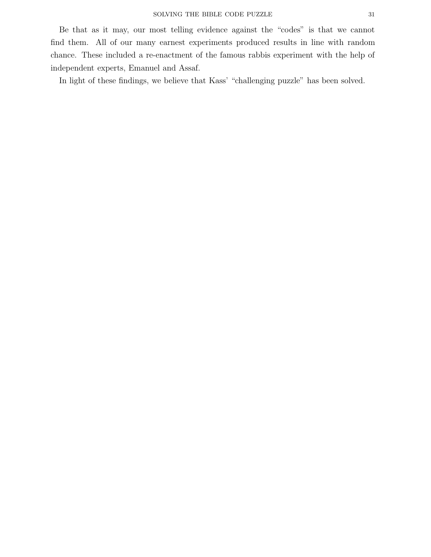Be that as it may, our most telling evidence against the "codes" is that we cannot find them. All of our many earnest experiments produced results in line with random chance. These included a re-enactment of the famous rabbis experiment with the help of independent experts, Emanuel and Assaf.

In light of these findings, we believe that Kass' "challenging puzzle" has been solved.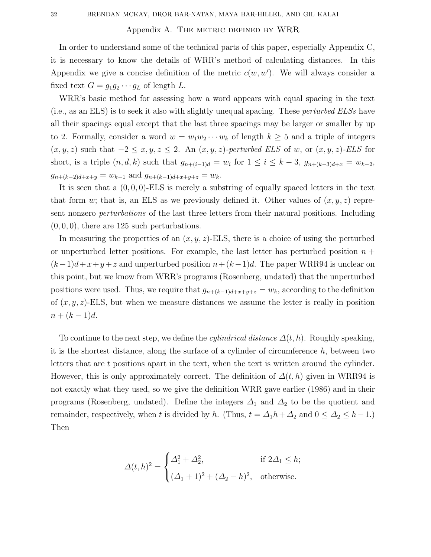### Appendix A. THE METRIC DEFINED BY WRR

In order to understand some of the technical parts of this paper, especially Appendix C, it is necessary to know the details of WRR's method of calculating distances. In this Appendix we give a concise definition of the metric  $c(w, w')$ . We will always consider a fixed text  $G = g_1 g_2 \cdots g_L$  of length L.

WRR's basic method for assessing how a word appears with equal spacing in the text (i.e., as an ELS) is to seek it also with slightly unequal spacing. These perturbed ELSs have all their spacings equal except that the last three spacings may be larger or smaller by up to 2. Formally, consider a word  $w = w_1w_2\cdots w_k$  of length  $k \geq 5$  and a triple of integers  $(x, y, z)$  such that  $-2 \le x, y, z \le 2$ . An  $(x, y, z)$ -perturbed ELS of w, or  $(x, y, z)$ -ELS for short, is a triple  $(n, d, k)$  such that  $g_{n+(i-1)d} = w_i$  for  $1 \le i \le k-3$ ,  $g_{n+(k-3)d+x} = w_{k-2}$ ,  $g_{n+(k-2)d+x+y} = w_{k-1}$  and  $g_{n+(k-1)d+x+y+z} = w_k$ .

It is seen that a  $(0, 0, 0)$ -ELS is merely a substring of equally spaced letters in the text that form w; that is, an ELS as we previously defined it. Other values of  $(x, y, z)$  represent nonzero perturbations of the last three letters from their natural positions. Including  $(0, 0, 0)$ , there are 125 such perturbations.

In measuring the properties of an  $(x, y, z)$ -ELS, there is a choice of using the perturbed or unperturbed letter positions. For example, the last letter has perturbed position  $n +$  $(k-1)d+x+y+z$  and unperturbed position  $n+(k-1)d$ . The paper WRR94 is unclear on this point, but we know from WRR's programs (Rosenberg, undated) that the unperturbed positions were used. Thus, we require that  $g_{n+(k-1)d+x+y+z} = w_k$ , according to the definition of  $(x, y, z)$ -ELS, but when we measure distances we assume the letter is really in position  $n + (k-1)d$ .

To continue to the next step, we define the *cylindrical distance*  $\Delta(t, h)$ . Roughly speaking, it is the shortest distance, along the surface of a cylinder of circumference h, between two letters that are t positions apart in the text, when the text is written around the cylinder. However, this is only approximately correct. The definition of  $\Delta(t, h)$  given in WRR94 is not exactly what they used, so we give the definition WRR gave earlier (1986) and in their programs (Rosenberg, undated). Define the integers  $\Delta_1$  and  $\Delta_2$  to be the quotient and remainder, respectively, when t is divided by h. (Thus,  $t = \Delta_1 h + \Delta_2$  and  $0 \leq \Delta_2 \leq h-1$ .) Then

$$
\Delta(t, h)^2 = \begin{cases} \Delta_1^2 + \Delta_2^2, & \text{if } 2\Delta_1 \leq h; \\ (\Delta_1 + 1)^2 + (\Delta_2 - h)^2, & \text{otherwise.} \end{cases}
$$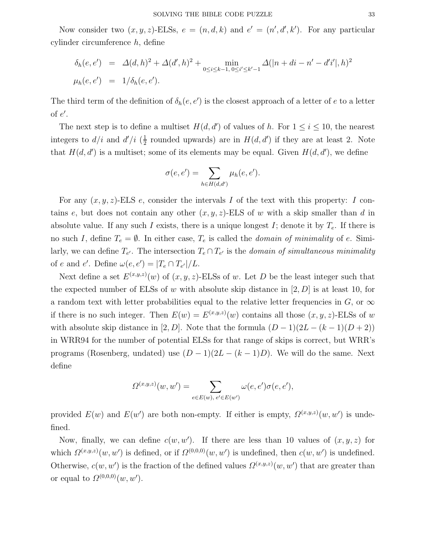Now consider two  $(x, y, z)$ -ELSs,  $e = (n, d, k)$  and  $e' = (n', d', k')$ . For any particular cylinder circumference h, define

$$
\delta_h(e, e') = \Delta(d, h)^2 + \Delta(d', h)^2 + \min_{0 \le i \le k-1, 0 \le i' \le k'-1} \Delta(|n + di - n' - d'i'|, h)^2
$$
  

$$
\mu_h(e, e') = 1/\delta_h(e, e').
$$

The third term of the definition of  $\delta_h(e, e')$  is the closest approach of a letter of e to a letter of  $e'$ .

The next step is to define a multiset  $H(d, d')$  of values of h. For  $1 \leq i \leq 10$ , the nearest integers to  $d/i$  and  $d'/i$  ( $\frac{1}{2}$  rounded upwards) are in  $H(d, d')$  if they are at least 2. Note that  $H(d, d')$  is a multiset; some of its elements may be equal. Given  $H(d, d')$ , we define

$$
\sigma(e, e') = \sum_{h \in H(d,d')} \mu_h(e, e').
$$

For any  $(x, y, z)$ -ELS e, consider the intervals I of the text with this property: I contains e, but does not contain any other  $(x, y, z)$ -ELS of w with a skip smaller than d in absolute value. If any such I exists, there is a unique longest I; denote it by  $T_e$ . If there is no such I, define  $T_e = \emptyset$ . In either case,  $T_e$  is called the *domain of minimality* of e. Similarly, we can define  $T_{e'}$ . The intersection  $T_e \cap T_{e'}$  is the domain of simultaneous minimality of e and e'. Define  $\omega(e, e') = |T_e \cap T_{e'}|/L$ .

Next define a set  $E^{(x,y,z)}(w)$  of  $(x, y, z)$ -ELSs of w. Let D be the least integer such that the expected number of ELSs of w with absolute skip distance in  $[2, D]$  is at least 10, for a random text with letter probabilities equal to the relative letter frequencies in G, or  $\infty$ if there is no such integer. Then  $E(w) = E^{(x,y,z)}(w)$  contains all those  $(x, y, z)$ -ELSs of w with absolute skip distance in [2, D]. Note that the formula  $(D-1)(2L - (k-1)(D+2))$ in WRR94 for the number of potential ELSs for that range of skips is correct, but WRR's programs (Rosenberg, undated) use  $(D-1)(2L - (k-1)D)$ . We will do the same. Next define

$$
\Omega^{(x,y,z)}(w,w') = \sum_{e \in E(w), e' \in E(w')} \omega(e,e')\sigma(e,e'),
$$

provided  $E(w)$  and  $E(w')$  are both non-empty. If either is empty,  $\Omega^{(x,y,z)}(w,w')$  is undefined.

Now, finally, we can define  $c(w, w')$ . If there are less than 10 values of  $(x, y, z)$  for which  $\Omega^{(x,y,z)}(w, w')$  is defined, or if  $\Omega^{(0,0,0)}(w, w')$  is undefined, then  $c(w, w')$  is undefined. Otherwise,  $c(w, w')$  is the fraction of the defined values  $\Omega^{(x,y,z)}(w, w')$  that are greater than or equal to  $\Omega^{(0,0,0)}(w,w')$ .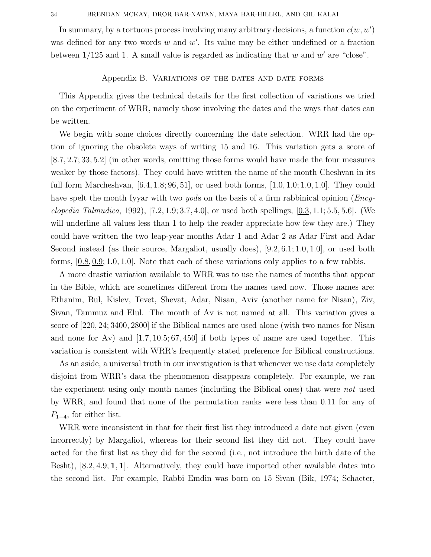In summary, by a tortuous process involving many arbitrary decisions, a function  $c(w, w')$ was defined for any two words  $w$  and  $w'$ . Its value may be either undefined or a fraction between  $1/125$  and 1. A small value is regarded as indicating that w and w' are "close".

### Appendix B. VARIATIONS OF THE DATES AND DATE FORMS

This Appendix gives the technical details for the first collection of variations we tried on the experiment of WRR, namely those involving the dates and the ways that dates can be written.

We begin with some choices directly concerning the date selection. WRR had the option of ignoring the obsolete ways of writing 15 and 16. This variation gets a score of [8.7, 2.7; 33, 5.2] (in other words, omitting those forms would have made the four measures weaker by those factors). They could have written the name of the month Cheshvan in its full form Marcheshvan, [6.4, 1.8; 96, 51], or used both forms, [1.0, 1.0; 1.0, 1.0]. They could have spelt the month Iyyar with two yods on the basis of a firm rabbinical opinion (*Ency*clopedia Talmudica, 1992),  $[7.2, 1.9; 3.7, 4.0]$ , or used both spellings,  $[0.3, 1.1; 5.5, 5.6]$ . (We will underline all values less than 1 to help the reader appreciate how few they are.) They could have written the two leap-year months Adar 1 and Adar 2 as Adar First and Adar Second instead (as their source, Margaliot, usually does), [9.2, 6.1; 1.0, 1.0], or used both forms,  $[0.8, 0.9; 1.0, 1.0]$ . Note that each of these variations only applies to a few rabbis.

A more drastic variation available to WRR was to use the names of months that appear in the Bible, which are sometimes different from the names used now. Those names are: Ethanim, Bul, Kislev, Tevet, Shevat, Adar, Nisan, Aviv (another name for Nisan), Ziv, Sivan, Tammuz and Elul. The month of Av is not named at all. This variation gives a score of [220, 24; 3400, 2800] if the Biblical names are used alone (with two names for Nisan and none for Av) and  $[1.7, 10.5, 67, 450]$  if both types of name are used together. This variation is consistent with WRR's frequently stated preference for Biblical constructions.

As an aside, a universal truth in our investigation is that whenever we use data completely disjoint from WRR's data the phenomenon disappears completely. For example, we ran the experiment using only month names (including the Biblical ones) that were not used by WRR, and found that none of the permutation ranks were less than 0.11 for any of  $P_{1-4}$ , for either list.

WRR were inconsistent in that for their first list they introduced a date not given (even incorrectly) by Margaliot, whereas for their second list they did not. They could have acted for the first list as they did for the second (i.e., not introduce the birth date of the Besht), [8.2, 4.9; **1**, **1**]. Alternatively, they could have imported other available dates into the second list. For example, Rabbi Emdin was born on 15 Sivan (Bik, 1974; Schacter,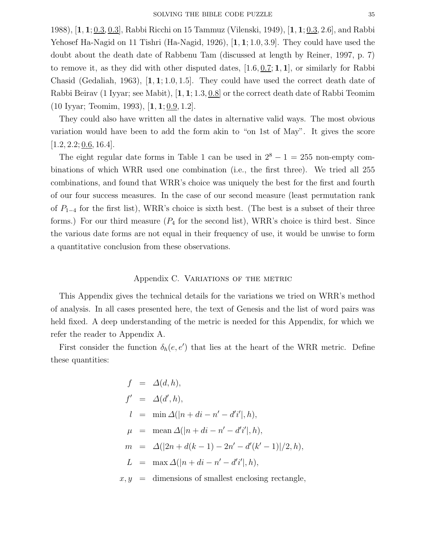1988), [**1**, **1**; 0.3, 0.3], Rabbi Ricchi on 15 Tammuz (Vilenski, 1949), [**1**, **1**; 0.3, 2.6], and Rabbi Yehosef Ha-Nagid on 11 Tishri (Ha-Nagid, 1926), [**1**, **1**; 1.0, 3.9]. They could have used the doubt about the death date of Rabbenu Tam (discussed at length by Reiner, 1997, p. 7) to remove it, as they did with other disputed dates,  $[1.6, 0.7; 1, 1]$ , or similarly for Rabbi Chasid (Gedaliah, 1963), [**1**, **1**; 1.0, 1.5]. They could have used the correct death date of Rabbi Beirav (1 Iyyar; see Mabit), [**1**, **1**; 1.3, 0.8] or the correct death date of Rabbi Teomim (10 Iyyar; Teomim, 1993), [**1**, **1**; 0.9, 1.2].

They could also have written all the dates in alternative valid ways. The most obvious variation would have been to add the form akin to "on 1st of May". It gives the score  $[1.2, 2.2; \underline{0.6}, 16.4].$ 

The eight regular date forms in Table 1 can be used in  $2^8 - 1 = 255$  non-empty combinations of which WRR used one combination (i.e., the first three). We tried all 255 combinations, and found that WRR's choice was uniquely the best for the first and fourth of our four success measures. In the case of our second measure (least permutation rank of  $P_{1-4}$  for the first list), WRR's choice is sixth best. (The best is a subset of their three forms.) For our third measure  $(P_4$  for the second list), WRR's choice is third best. Since the various date forms are not equal in their frequency of use, it would be unwise to form a quantitative conclusion from these observations.

### Appendix C. VARIATIONS OF THE METRIC

This Appendix gives the technical details for the variations we tried on WRR's method of analysis. In all cases presented here, the text of Genesis and the list of word pairs was held fixed. A deep understanding of the metric is needed for this Appendix, for which we refer the reader to Appendix A.

First consider the function  $\delta_h(e, e')$  that lies at the heart of the WRR metric. Define these quantities:

$$
f = \Delta(d, h),
$$
  
\n
$$
f' = \Delta(d', h),
$$
  
\n
$$
l = \min \Delta(|n + di - n' - d'i'|, h),
$$
  
\n
$$
\mu = \text{mean } \Delta(|n + di - n' - d'i'|, h),
$$
  
\n
$$
m = \Delta(|2n + d(k - 1) - 2n' - d'(k' - 1)|/2, h),
$$
  
\n
$$
L = \max \Delta(|n + di - n' - d'i'|, h),
$$

 $x, y =$  dimensions of smallest enclosing rectangle,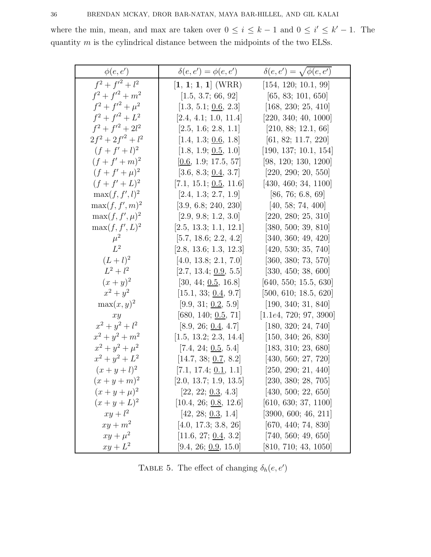where the min, mean, and max are taken over  $0 \leq i \leq k-1$  and  $0 \leq i' \leq k'-1$ . The quantity  $m$  is the cylindrical distance between the midpoints of the two ELSs.

| $\phi(e,e')$             | $\delta(e, e') = \phi(e, e')$        | $\delta(e,e') = \sqrt{\phi(e,e')}$                       |
|--------------------------|--------------------------------------|----------------------------------------------------------|
| $f^2 + f'^2 + l^2$       | $[1, 1; 1, 1]$ (WRR)                 | [154, 120; 10.1, 99]                                     |
| $f^2 + f'^2 + m^2$       | [1.5, 3.7; 66, 92]                   | [65, 83; 101, 650]                                       |
| $f^2 + f'^2 + \mu^2$     | $[1.3, 5.1; \underline{0.6}, 2.3]$   | [168, 230; 25, 410]                                      |
| $f^2 + f'^2 + L^2$       | [2.4, 4.1; 1.0, 11.4]                | [220, 340; 40, 1000]                                     |
| $f^2 + f'^2 + 2l^2$      | [2.5, 1.6; 2.8, 1.1]                 | [210, 88; 12.1, 66]                                      |
| $2f^2+2f^{\prime 2}+l^2$ | [1.4, 1.3; 0.6, 1.8]                 | [61, 82; 11.7, 220]                                      |
| $(f + f' + l)^2$         | $[1.8, 1.9; \underline{0.5}, 1.0]$   | [190, 137; 10.1, 154]                                    |
| $(f + f' + m)^2$         | [0.6, 1.9; 17.5, 57]                 | [98, 120; 130, 1200]                                     |
| $(f + f' + \mu)^2$       | $[3.6, 8.3; \underline{0.4}, 3.7]$   | [220, 290; 20, 550]                                      |
| $(f + f' + L)^2$         | $[7.1, 15.1; \underline{0.5}, 11.6]$ | [430, 460; 34, 1100]                                     |
| $\max(f, f', l)^2$       | [2.4, 1.3; 2.7, 1.9]                 | [86, 76; 6.8, 69]                                        |
| $\max(f, f', m)^2$       | [3.9, 6.8; 240, 230]                 | [40, 58; 74, 400]                                        |
| $\max(f, f', \mu)^2$     | [2.9, 9.8; 1.2, 3.0]                 | [220, 280; 25, 310]                                      |
| $\max(f, f', L)^2$       | [2.5, 13.3; 1.1, 12.1]               | [380, 500; 39, 810]                                      |
| $\mu^2$                  | [5.7, 18.6; 2.2, 4.2]                | [340, 360; 49, 420]                                      |
| $L^2$                    | [2.8, 13.6; 1.3, 12.3]               | [420, 530; 35, 740]                                      |
| $(L+l)^2$                | [4.0, 13.8; 2.1, 7.0]                | [360, 380; 73, 570]                                      |
| $L^2 + l^2$              | $[2.7, 13.4; \underline{0.9}, 5.5]$  | [330, 450; 38, 600]                                      |
| $(x+y)^2$                | $[30, 44; \underline{0.5}, 16.8]$    | [640, 550; 15.5, 630]                                    |
| $x^2 + y^2$              | [15.1, 33; 0.4, 9.7]                 | [500, 610; 18.5, 620]                                    |
| $\max(x, y)^2$           | $[9.9, 31; \underline{0.2}, 5.9]$    | [190, 340; 31, 840]                                      |
| xy                       | $[680, 140; \underline{0.5}, 71]$    | [1.1e4, 720; 97, 3900]                                   |
| $x^2 + y^2 + l^2$        | $[8.9, 26; \underline{0.4}, 4.7]$    | [180, 320; 24, 740]                                      |
| $x^2 + y^2 + m^2$        | [1.5, 13.2; 2.3, 14.4]               | [150, 340; 26, 830]                                      |
| $x^2 + y^2 + \mu^2$      | [7.4, 24; 0.5, 5.4]                  | [183, 310; 23, 680]                                      |
| $x^2 + y^2 + L^2$        | $[14.7, 38; \underline{0.7}, 8.2]$   | [430, 560; 27, 720]                                      |
| $(x+y+l)^2$              | $[7.1, 17.4; \underline{0.1}, 1.1]$  | [250, 290; 21, 440]                                      |
| $(x+y+m)^2$              | [2.0, 13.7; 1.9, 13.5]               | [230, 380; 28, 705]                                      |
| $(x + y + \mu)^2$        | $[22, 22; \underline{0.3}, 4.3]$     | [430, 500; 22, 650]                                      |
| $(x + y + L)^2$          |                                      | $[10.4, 26; \underline{0.8}, 12.6]$ [610, 630; 37, 1100] |
| $xy+l^2$                 | [42, 28; 0.3, 1.4]                   | [3900, 600; 46, 211]                                     |
| $xy + m^2$               | [4.0, 17.3; 3.8, 26]                 | [670, 440; 74, 830]                                      |
| $xy + \mu^2$             | [11.6, 27; 0.4, 3.2]                 | [740, 560; 49, 650]                                      |
| $xy + L^2$               | $[9.4, 26; \underline{0.9}, 15.0]$   | [810, 710; 43, 1050]                                     |

TABLE 5. The effect of changing  $\delta_h(e, e')$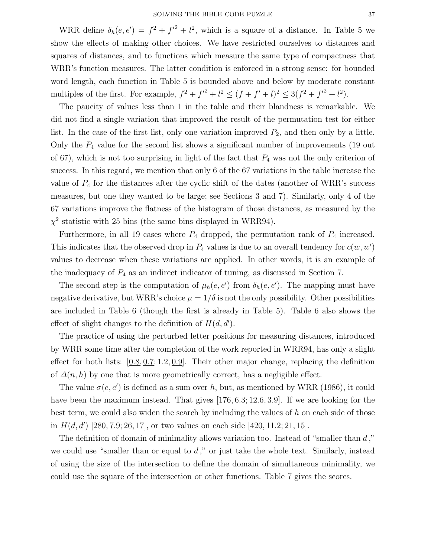WRR define  $\delta_h(e, e') = f^2 + f'^2 + l^2$ , which is a square of a distance. In Table 5 we show the effects of making other choices. We have restricted ourselves to distances and squares of distances, and to functions which measure the same type of compactness that WRR's function measures. The latter condition is enforced in a strong sense: for bounded word length, each function in Table 5 is bounded above and below by moderate constant multiples of the first. For example,  $f^2 + f'^2 + l^2 \le (f + f' + l)^2 \le 3(f^2 + f'^2 + l^2)$ .

The paucity of values less than 1 in the table and their blandness is remarkable. We did not find a single variation that improved the result of the permutation test for either list. In the case of the first list, only one variation improved  $P_2$ , and then only by a little. Only the  $P_4$  value for the second list shows a significant number of improvements (19 out of 67), which is not too surprising in light of the fact that  $P_4$  was not the only criterion of success. In this regard, we mention that only 6 of the 67 variations in the table increase the value of  $P_4$  for the distances after the cyclic shift of the dates (another of WRR's success measures, but one they wanted to be large; see Sections 3 and 7). Similarly, only 4 of the 67 variations improve the flatness of the histogram of those distances, as measured by the  $\chi^2$  statistic with 25 bins (the same bins displayed in WRR94).

Furthermore, in all 19 cases where  $P_4$  dropped, the permutation rank of  $P_4$  increased. This indicates that the observed drop in  $P_4$  values is due to an overall tendency for  $c(w, w')$ values to decrease when these variations are applied. In other words, it is an example of the inadequacy of  $P_4$  as an indirect indicator of tuning, as discussed in Section 7.

The second step is the computation of  $\mu_h(e, e')$  from  $\delta_h(e, e')$ . The mapping must have negative derivative, but WRR's choice  $\mu = 1/\delta$  is not the only possibility. Other possibilities are included in Table 6 (though the first is already in Table 5). Table 6 also shows the effect of slight changes to the definition of  $H(d, d')$ .

The practice of using the perturbed letter positions for measuring distances, introduced by WRR some time after the completion of the work reported in WRR94, has only a slight effect for both lists:  $[0.8, 0.7; 1.2, 0.9]$ . Their other major change, replacing the definition of  $\Delta(n, h)$  by one that is more geometrically correct, has a negligible effect.

The value  $\sigma(e, e')$  is defined as a sum over h, but, as mentioned by WRR (1986), it could have been the maximum instead. That gives [176, 6.3; 12.6, 3.9]. If we are looking for the best term, we could also widen the search by including the values of  $h$  on each side of those in  $H(d, d')$  [280, 7.9; 26, 17], or two values on each side [420, 11.2; 21, 15].

The definition of domain of minimality allows variation too. Instead of "smaller than d ," we could use "smaller than or equal to  $d,$ " or just take the whole text. Similarly, instead of using the size of the intersection to define the domain of simultaneous minimality, we could use the square of the intersection or other functions. Table 7 gives the scores.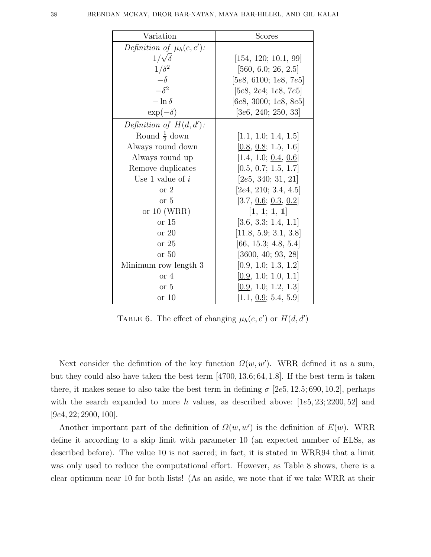| Variation                     | Scores                                         |
|-------------------------------|------------------------------------------------|
| Definition of $\mu_h(e,e')$ : |                                                |
| $1/\sqrt{\delta}$             | [154, 120; 10.1, 99]                           |
| $1/\delta^2$                  | [560, 6.0; 26, 2.5]                            |
| $-\delta$                     | [5e8, 6100; 1e8, 7e5]                          |
| $-\delta^2$                   | [5e8, 2e4; 1e8, 7e5]                           |
| $-\ln \delta$                 | [6e8, 3000; 1e8, 8e5]                          |
| $\exp(-\delta)$               | [3e6, 240; 250, 33]                            |
| Definition of $H(d, d')$ :    |                                                |
| Round $\frac{1}{2}$ down      | [1.1, 1.0; 1.4, 1.5]                           |
| Always round down             | [0.8, 0.8; 1.5, 1.6]                           |
| Always round up               | $[1.4, 1.0; \underline{0.4}, \underline{0.6}]$ |
| Remove duplicates             | [0.5, 0.7; 1.5, 1.7]                           |
| Use 1 value of $i$            | [2e5, 340; 31, 21]                             |
| or 2                          | [2e4, 210; 3.4, 4.5]                           |
| or 5                          | [3.7, 0.6; 0.3, 0.2]                           |
| or $10 \, (WRR)$              | [1, 1; 1, 1]                                   |
| or $15$                       | [3.6, 3.3; 1.4, 1.1]                           |
| or 20                         | [11.8, 5.9; 3.1, 3.8]                          |
| or 25                         | [66, 15.3; 4.8, 5.4]                           |
| or 50                         | [3600, 40; 93, 28]                             |
| Minimum row length 3          | [0.9, 1.0; 1.3, 1.2]                           |
| or 4                          | [0.9, 1.0; 1.0, 1.1]                           |
| or 5                          | [0.9, 1.0; 1.2, 1.3]                           |
| or 10                         | $[1.1, \underline{0.9}; 5.4, 5.9]$             |

TABLE 6. The effect of changing  $\mu_h(e, e')$  or  $H(d, d')$ 

Next consider the definition of the key function  $\Omega(w, w')$ . WRR defined it as a sum, but they could also have taken the best term [4700, 13.6; 64, 1.8]. If the best term is taken there, it makes sense to also take the best term in defining  $\sigma$  [2e5, 12.5; 690, 10.2], perhaps with the search expanded to more h values, as described above:  $[1e5, 23; 2200, 52]$  and [9e4, 22; 2900, 100].

Another important part of the definition of  $\Omega(w, w')$  is the definition of  $E(w)$ . WRR define it according to a skip limit with parameter 10 (an expected number of ELSs, as described before). The value 10 is not sacred; in fact, it is stated in WRR94 that a limit was only used to reduce the computational effort. However, as Table 8 shows, there is a clear optimum near 10 for both lists! (As an aside, we note that if we take WRR at their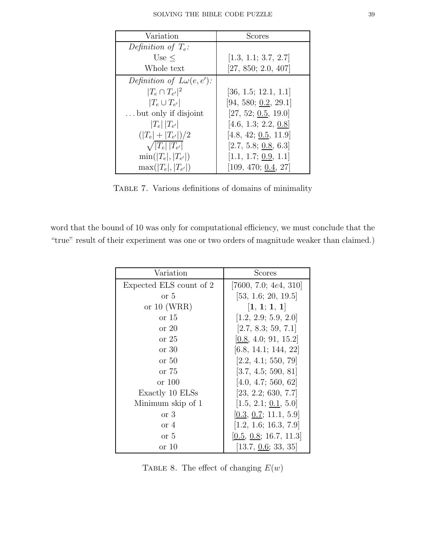| Variation                       | Scores                             |
|---------------------------------|------------------------------------|
| Definition of $T_e$ :           |                                    |
| Use $\leq$                      | [1.3, 1.1; 3.7, 2.7]               |
| Whole text                      | [27, 850; 2.0, 407]                |
| Definition of $L\omega(e,e')$ : |                                    |
| $ T_e \cap T_{e'} ^2$           | [36, 1.5; 12.1, 1.1]               |
| $ T_e \cup T_{e'} $             | [94, 580; 0.2, 29.1]               |
| but only if disjoint            | [27, 52; $0.5$ , 19.0]             |
| $ T_e   T_{e'} $                | [4.6, 1.3; 2.2, 0.8]               |
| $( T_e + T_{e'} )/2$            | $[4.8, 42; \underline{0.5}, 11.9]$ |
| $\sqrt{ T_e } T_{e'} $          | $[2.7, 5.8; \underline{0.8}, 6.3]$ |
| $\min( T_e ,  T_{e'} )$         | [1.1, 1.7; 0.9, 1.1]               |
| $\max( T_e ,  T_{e'} )$         | [109, 470; 0.4, 27]                |

TABLE 7. Various definitions of domains of minimality

word that the bound of 10 was only for computational efficiency, we must conclude that the "true" result of their experiment was one or two orders of magnitude weaker than claimed.)

| Variation               | Scores                 |
|-------------------------|------------------------|
| Expected ELS count of 2 | [7600, 7.0; 4e4, 310]  |
| or 5                    | [53, 1.6; 20, 19.5]    |
| or $10$ (WRR)           | [1, 1; 1, 1]           |
| or 15                   | [1.2, 2.9; 5.9, 2.0]   |
| or 20                   | [2.7, 8.3; 59, 7.1]    |
| or $25$                 | [0.8, 4.0; 91, 15.2]   |
| or 30                   | [6.8, 14.1; 144, 22]   |
| or 50                   | [2.2, 4.1; 550, 79]    |
| or 75                   | [3.7, 4.5; 590, 81]    |
| or 100                  | [4.0, 4.7; 560, 62]    |
| Exactly 10 ELSs         | [23, 2.2; 630, 7.7]    |
| Minimum skip of 1       | [1.5, 2.1; 0.1, 5.0]   |
| or 3                    | [0.3, 0.7; 11.1, 5.9]  |
| or $4$                  | [1.2, 1.6; 16.3, 7.9]  |
| or 5                    | [0.5, 0.8; 16.7, 11.3] |
| or 10                   | [13.7, $0.6$ ; 33, 35] |

TABLE 8. The effect of changing  $E(w)$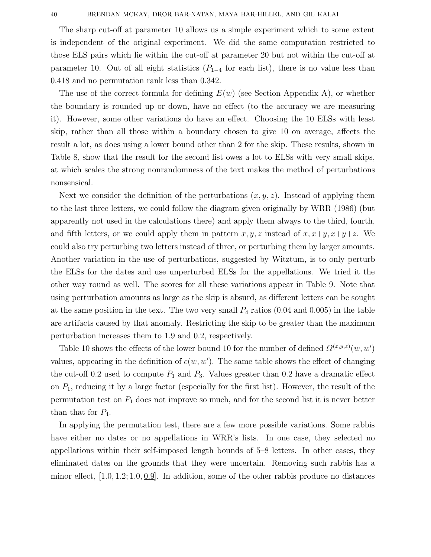The sharp cut-off at parameter 10 allows us a simple experiment which to some extent is independent of the original experiment. We did the same computation restricted to those ELS pairs which lie within the cut-off at parameter 20 but not within the cut-off at parameter 10. Out of all eight statistics  $(P_{1-4}$  for each list), there is no value less than 0.418 and no permutation rank less than 0.342.

The use of the correct formula for defining  $E(w)$  (see Section Appendix A), or whether the boundary is rounded up or down, have no effect (to the accuracy we are measuring it). However, some other variations do have an effect. Choosing the 10 ELSs with least skip, rather than all those within a boundary chosen to give 10 on average, affects the result a lot, as does using a lower bound other than 2 for the skip. These results, shown in Table 8, show that the result for the second list owes a lot to ELSs with very small skips, at which scales the strong nonrandomness of the text makes the method of perturbations nonsensical.

Next we consider the definition of the perturbations  $(x, y, z)$ . Instead of applying them to the last three letters, we could follow the diagram given originally by WRR (1986) (but apparently not used in the calculations there) and apply them always to the third, fourth, and fifth letters, or we could apply them in pattern  $x, y, z$  instead of  $x, x+y, x+y+z$ . We could also try perturbing two letters instead of three, or perturbing them by larger amounts. Another variation in the use of perturbations, suggested by Witztum, is to only perturb the ELSs for the dates and use unperturbed ELSs for the appellations. We tried it the other way round as well. The scores for all these variations appear in Table 9. Note that using perturbation amounts as large as the skip is absurd, as different letters can be sought at the same position in the text. The two very small  $P_4$  ratios (0.04 and 0.005) in the table are artifacts caused by that anomaly. Restricting the skip to be greater than the maximum perturbation increases them to 1.9 and 0.2, respectively.

Table 10 shows the effects of the lower bound 10 for the number of defined  $\Omega^{(x,y,z)}(w, w')$ values, appearing in the definition of  $c(w, w')$ . The same table shows the effect of changing the cut-off 0.2 used to compute  $P_1$  and  $P_3$ . Values greater than 0.2 have a dramatic effect on  $P_1$ , reducing it by a large factor (especially for the first list). However, the result of the permutation test on  $P_1$  does not improve so much, and for the second list it is never better than that for  $P_4$ .

In applying the permutation test, there are a few more possible variations. Some rabbis have either no dates or no appellations in WRR's lists. In one case, they selected no appellations within their self-imposed length bounds of 5–8 letters. In other cases, they eliminated dates on the grounds that they were uncertain. Removing such rabbis has a minor effect, [1.0, 1.2; 1.0, 0.9]. In addition, some of the other rabbis produce no distances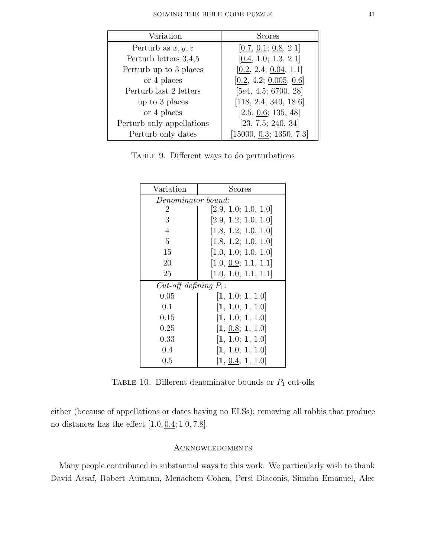| Variation                 | Scores                  |
|---------------------------|-------------------------|
| Perturb as $x, y, z$      | [0.7, 0.1; 0.8, 2.1]    |
| Perturb letters 3,4,5     | [0.4, 1.0; 1.3, 2.1]    |
| Perturb up to 3 places    | [0.2, 2.4; 0.04, 1.1]   |
| or 4 places               | [0.2, 4.2; 0.005, 0.6]  |
| Perturb last 2 letters    | [5e4, 4.5; 6700, 28]    |
| up to 3 places            | [118, 2.4; 340, 18.6]   |
| or 4 places               | [2.5, 0.6; 135, 48]     |
| Perturb only appellations | [23, 7.5; 240, 34]      |
| Perturb only dates        | [15000, 0.3; 1350, 7.3] |

Table 9. Different ways to do perturbations

| Variation                | <b>Scores</b>                             |
|--------------------------|-------------------------------------------|
| Denominator bound:       |                                           |
| 2                        | [2.9, 1.0; 1.0, 1.0]                      |
| 3                        | [2.9, 1.2; 1.0, 1.0]                      |
| 4                        | [1.8, 1.2; 1.0, 1.0]                      |
| 5                        | [1.8, 1.2; 1.0, 1.0]                      |
| 15                       | [1.0, 1.0; 1.0, 1.0]                      |
| 20                       | [1.0, 0.9; 1.1, 1.1]                      |
| 25                       | [1.0, 1.0; 1.1, 1.1]                      |
| Cut-off defining $P_1$ : |                                           |
| 0.05                     | $\left[1, 1.0; 1, 1.0\right]$             |
| 0.1                      | $\vert 1, 1.0; 1, 1.0 \vert$              |
| 0.15                     | $\left[1, 1.0; 1, 1.0\right]$             |
| 0.25                     | $\left[1, 0.8, 1, 1.0\right]$             |
| 0.33                     | $\vert 1, 1.0; 1, 1.0 \vert$              |
| 0.4                      | $\left[1, 1.0; 1, 1.0\right]$             |
| $0.5\,$                  | $\left[1, \underline{0.4}; 1, 1.0\right]$ |

TABLE 10. Different denominator bounds or  $P_1$  cut-offs

either (because of appellations or dates having no ELSs); removing all rabbis that produce no distances has the effect  $[1.0, 0.4; 1.0, 7.8]$ .

### **ACKNOWLEDGMENTS**

Many people contributed in substantial ways to this work. We particularly wish to thank David Assaf, Robert Aumann, Menachem Cohen, Persi Diaconis, Simcha Emanuel, Alec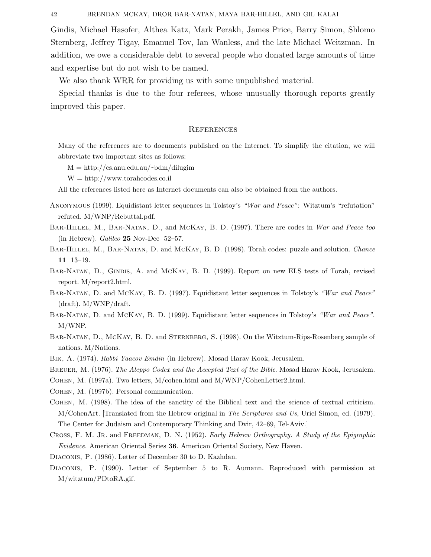Gindis, Michael Hasofer, Althea Katz, Mark Perakh, James Price, Barry Simon, Shlomo Sternberg, Jeffrey Tigay, Emanuel Tov, Ian Wanless, and the late Michael Weitzman. In addition, we owe a considerable debt to several people who donated large amounts of time and expertise but do not wish to be named.

We also thank WRR for providing us with some unpublished material.

Special thanks is due to the four referees, whose unusually thorough reports greatly improved this paper.

### **REFERENCES**

Many of the references are to documents published on the Internet. To simplify the citation, we will abbreviate two important sites as follows:

 $M = \frac{http://cs.anu.edu.au/~bdm/dilugin)}{}$ 

 $W = \frac{htp:}{/www.torahcodes.co.il}$ 

All the references listed here as Internet documents can also be obtained from the authors.

- Anonymous (1999). Equidistant letter sequences in Tolstoy's *"War and Peace"*: Witztum's "refutation" refuted. M/WNP/Rebuttal.pdf.
- Bar-Hillel, M., Bar-Natan, D., and McKay, B. D. (1997). There are codes in *War and Peace too* (in Hebrew). *Galileo* **25** Nov-Dec 52–57.

Bar-Hillel, M., Bar-Natan, D. and McKay, B. D. (1998). Torah codes: puzzle and solution. *Chance* **11** 13–19.

- BAR-NATAN, D., GINDIS, A. and MCKAY, B. D. (1999). Report on new ELS tests of Torah, revised report. M/report2.html.
- Bar-Natan, D. and McKay, B. D. (1997). Equidistant letter sequences in Tolstoy's *"War and Peace"* (draft). M/WNP/draft.
- Bar-Natan, D. and McKay, B. D. (1999). Equidistant letter sequences in Tolstoy's *"War and Peace"*. M/WNP.
- Bar-Natan, D., McKay, B. D. and Sternberg, S. (1998). On the Witztum-Rips-Rosenberg sample of nations. M/Nations.
- Bik, A. (1974). *Rabbi Yaacov Emdin* (in Hebrew). Mosad Harav Kook, Jerusalem.

Breuer, M. (1976). *The Aleppo Codex and the Accepted Text of the Bible*. Mosad Harav Kook, Jerusalem.

Cohen, M. (1997a). Two letters, M/cohen.html and M/WNP/CohenLetter2.html.

Cohen, M. (1997b). Personal communication.

- Cohen, M. (1998). The idea of the sanctity of the Biblical text and the science of textual criticism. M/CohenArt. [Translated from the Hebrew original in *The Scriptures and Us*, Uriel Simon, ed. (1979). The Center for Judaism and Contemporary Thinking and Dvir, 42–69, Tel-Aviv.]
- Cross, F. M. Jr. and Freedman, D. N. (1952). *Early Hebrew Orthography. A Study of the Epigraphic Evidence*. American Oriental Series **36**. American Oriental Society, New Haven.

Diaconis, P. (1986). Letter of December 30 to D. Kazhdan.

DIACONIS, P. (1990). Letter of September 5 to R. Aumann. Reproduced with permission at M/witztum/PDtoRA.gif.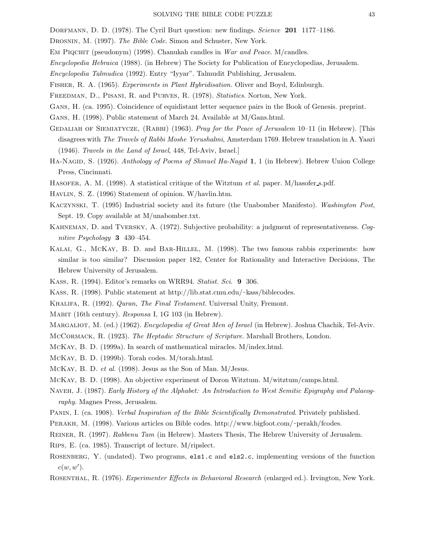DORFMANN, D. D. (1978). The Cyril Burt question: new findings. *Science* 201 1177–1186.

Drosnin, M. (1997). *The Bible Code*. Simon and Schuster, New York.

- Em Piqchit (pseudonym) (1998). Chanukah candles in *War and Peace*. M/candles.
- *Encyclopedia Hebraica* (1988). (in Hebrew) The Society for Publication of Encyclopedias, Jerusalem.
- *Encyclopedia Talmudica* (1992). Entry "Iyyar". Talmudit Publishing, Jerusalem.
- Fisher, R. A. (1965). *Experiments in Plant Hybridisation*. Oliver and Boyd, Edinburgh.
- Freedman, D., Pisani, R. and Purves, R. (1978). *Statistics*. Norton, New York.
- Gans, H. (ca. 1995). Coincidence of equidistant letter sequence pairs in the Book of Genesis. preprint.
- Gans, H. (1998). Public statement of March 24. Available at M/Gans.html.
- Gedaliah of Siemiatycze, (Rabbi) (1963). *Pray for the Peace of Jerusalem* 10–11 (in Hebrew). [This disagrees with *The Travels of Rabbi Moshe Yerushalmi*, Amsterdam 1769. Hebrew translation in A. Yaari (1946). *Travels in the Land of Israel*, 448, Tel-Aviv, Israel.]
- Ha-Nagid, S. (1926). *Anthology of Poems of Shmuel Ha-Nagid* **1**, 1 (in Hebrew). Hebrew Union College Press, Cincinnati.
- Hasofer, A. M. (1998). A statistical critique of the Witztum *et al.* paper. M/hasofer s.pdf.
- HAVLIN, S. Z. (1996) Statement of opinion. W/havlin.htm.
- Kaczynski, T. (1995) Industrial society and its future (the Unabomber Manifesto). *Washington Post*, Sept. 19. Copy available at M/unabomber.txt.
- Kahneman, D. and Tversky, A. (1972). Subjective probability: a judgment of representativeness. *Cognitive Psychology* **3** 430–454.
- KALAI, G., MCKAY, B. D. and BAR-HILLEL, M. (1998). The two famous rabbis experiments: how similar is too similar? Discussion paper 182, Center for Rationality and Interactive Decisions, The Hebrew University of Jerusalem.
- Kass, R. (1994). Editor's remarks on WRR94. *Statist. Sci.* **9** 306.
- KASS, R. (1998). Public statement at http://lib.stat.cmu.edu/~kass/biblecodes.
- Khalifa, R. (1992). *Quran, The Final Testament*. Universal Unity, Fremont.
- Mabit (16th century). *Responsa* I, 1G 103 (in Hebrew).
- Margaliot, M. (ed.) (1962). *Encyclopedia of Great Men of Israel* (in Hebrew). Joshua Chachik, Tel-Aviv.
- McCormack, R. (1923). *The Heptadic Structure of Scripture*. Marshall Brothers, London.
- McKay, B. D. (1999a). In search of mathematical miracles. M/index.html.
- McKay, B. D. (1999b). Torah codes. M/torah.html.
- McKay, B. D. *et al.* (1998). Jesus as the Son of Man. M/Jesus.
- McKay, B. D. (1998). An objective experiment of Doron Witztum. M/witztum/camps.html.
- Naveh, J. (1987). *Early History of the Alphabet: An Introduction to West Semitic Epigraphy and Palaeography*. Magnes Press, Jerusalem.
- Panin, I. (ca. 1908). *Verbal Inspiration of the Bible Scientifically Demonstrated*. Privately published.
- PERAKH, M. (1998). Various articles on Bible codes. http://www.bigfoot.com/~perakh/fcodes.
- Reiner, R. (1997). *Rabbenu Tam* (in Hebrew). Masters Thesis, The Hebrew University of Jerusalem.
- Rips, E. (ca. 1985). Transcript of lecture. M/ripslect.
- Rosenberg, Y. (undated). Two programs, els1.c and els2.c, implementing versions of the function  $c(w, w').$
- Rosenthal, R. (1976). *Experimenter Effects in Behavioral Research* (enlarged ed.). Irvington, New York.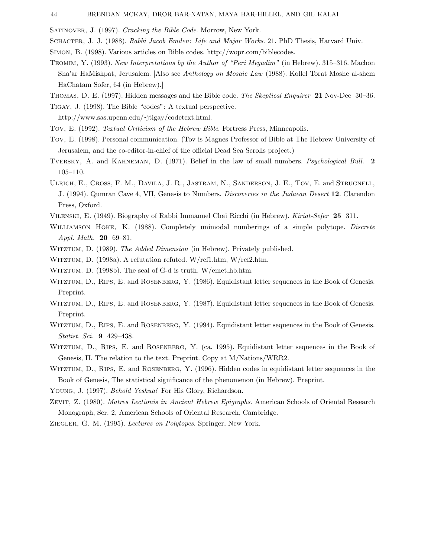Satinover, J. (1997). *Cracking the Bible Code*. Morrow, New York.

Schacter, J. J. (1988). *Rabbi Jacob Emden: Life and Major Works*. 21. PhD Thesis, Harvard Univ.

Simon, B. (1998). Various articles on Bible codes. http://wopr.com/biblecodes.

- Teomim, Y. (1993). *New Interpretations by the Author of "Peri Megadim"* (in Hebrew). 315–316. Machon Sha'ar HaMishpat, Jerusalem. [Also see *Anthology on Mosaic Law* (1988). Kollel Torat Moshe al-shem HaChatam Sofer, 64 (in Hebrew).]
- Thomas, D. E. (1997). Hidden messages and the Bible code. *The Skeptical Enquirer* **21** Nov-Dec 30–36.
- Tigay, J. (1998). The Bible "codes": A textual perspective.

http://www.sas.upenn.edu/˜jtigay/codetext.html.

- Tov, E. (1992). *Textual Criticism of the Hebrew Bible*. Fortress Press, Minneapolis.
- Tov, E. (1998). Personal communication. (Tov is Magnes Professor of Bible at The Hebrew University of Jerusalem, and the co-editor-in-chief of the official Dead Sea Scrolls project.)
- Tversky, A. and Kahneman, D. (1971). Belief in the law of small numbers. *Psychological Bull.* **2** 105–110.
- Ulrich, E., Cross, F. M., Davila, J. R., Jastram, N., Sanderson, J. E., Tov, E. and Strugnell, J. (1994). Qumran Cave 4, VII, Genesis to Numbers. *Discoveries in the Judaean Desert* **12**. Clarendon Press, Oxford.
- Vilenski, E. (1949). Biography of Rabbi Immanuel Chai Ricchi (in Hebrew). *Kiriat-Sefer* **25** 311.
- Williamson Hoke, K. (1988). Completely unimodal numberings of a simple polytope. *Discrete Appl. Math.* **20** 69–81.
- Witztum, D. (1989). *The Added Dimension* (in Hebrew). Privately published.
- WITZTUM, D. (1998a). A refutation refuted. W/ref1.htm, W/ref2.htm.
- WITZTUM. D. (1998b). The seal of G-d is truth. W/emet\_hb.htm.
- WITZTUM, D., RIPS, E. and ROSENBERG, Y. (1986). Equidistant letter sequences in the Book of Genesis. Preprint.
- WITZTUM, D., RIPS, E. and ROSENBERG, Y. (1987). Equidistant letter sequences in the Book of Genesis. Preprint.
- WITZTUM, D., RIPS, E. and ROSENBERG, Y. (1994). Equidistant letter sequences in the Book of Genesis. *Statist. Sci.* **9** 429–438.
- WITZTUM, D., RIPS, E. and ROSENBERG, Y. (ca. 1995). Equidistant letter sequences in the Book of Genesis, II. The relation to the text. Preprint. Copy at M/Nations/WRR2.
- WITZTUM, D., RIPS, E. and ROSENBERG, Y. (1996). Hidden codes in equidistant letter sequences in the Book of Genesis, The statistical significance of the phenomenon (in Hebrew). Preprint.
- Young, J. (1997). *Behold Yeshua!* For His Glory, Richardson.
- Zevit, Z. (1980). *Matres Lectionis in Ancient Hebrew Epigraphs*. American Schools of Oriental Research Monograph, Ser. 2, American Schools of Oriental Research, Cambridge.
- Ziegler, G. M. (1995). *Lectures on Polytopes*. Springer, New York.